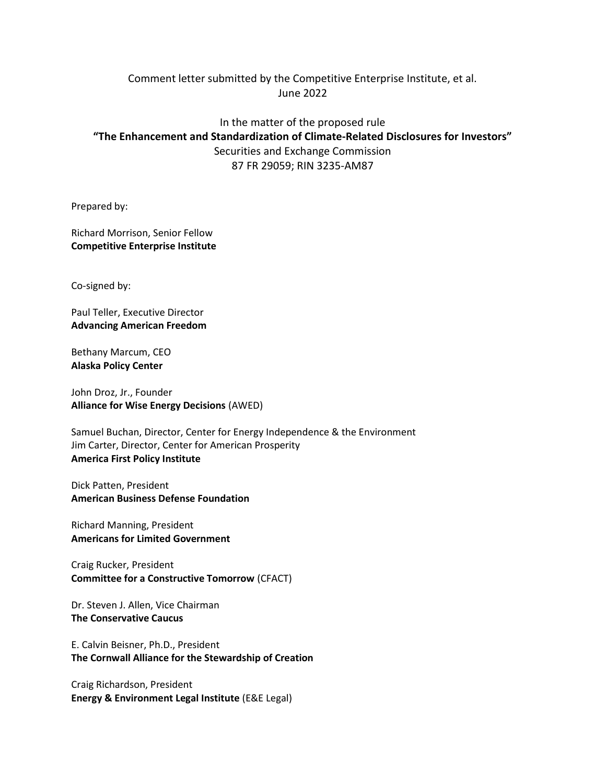## Comment letter submitted by the Competitive Enterprise Institute, et al. June 2022

# In the matter of the proposed rule "The Enhancement and Standardization of Climate-Related Disclosures for Investors" Securities and Exchange Commission 87 FR 29059; RIN 3235-AM87

Prepared by:

Richard Morrison, Senior Fellow Competitive Enterprise Institute

Co-signed by:

Paul Teller, Executive Director Advancing American Freedom

Bethany Marcum, CEO Alaska Policy Center

John Droz, Jr., Founder Alliance for Wise Energy Decisions (AWED)

Samuel Buchan, Director, Center for Energy Independence & the Environment Jim Carter, Director, Center for American Prosperity America First Policy Institute

Dick Patten, President American Business Defense Foundation

Richard Manning, President Americans for Limited Government

Craig Rucker, President Committee for a Constructive Tomorrow (CFACT)

Dr. Steven J. Allen, Vice Chairman The Conservative Caucus

E. Calvin Beisner, Ph.D., President The Cornwall Alliance for the Stewardship of Creation

Craig Richardson, President Energy & Environment Legal Institute (E&E Legal)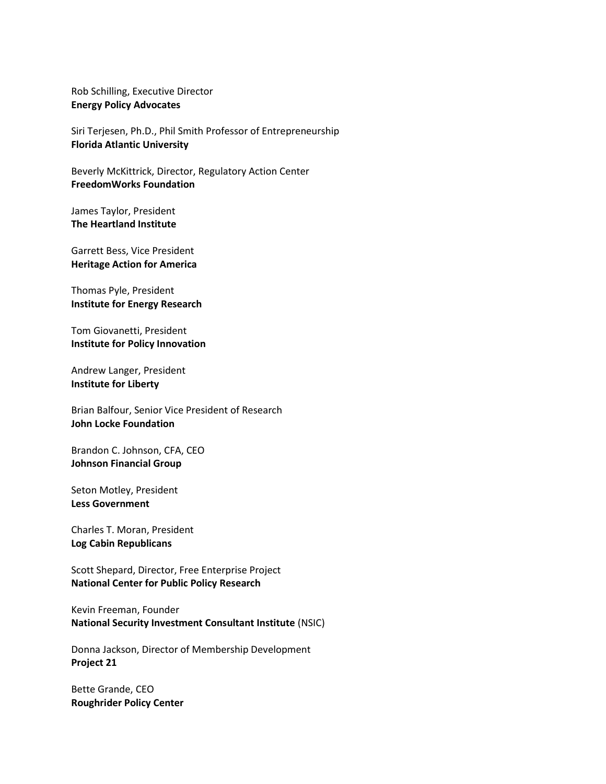Rob Schilling, Executive Director Energy Policy Advocates

Siri Terjesen, Ph.D., Phil Smith Professor of Entrepreneurship Florida Atlantic University

Beverly McKittrick, Director, Regulatory Action Center FreedomWorks Foundation

James Taylor, President The Heartland Institute

Garrett Bess, Vice President Heritage Action for America

Thomas Pyle, President Institute for Energy Research

Tom Giovanetti, President Institute for Policy Innovation

Andrew Langer, President Institute for Liberty

Brian Balfour, Senior Vice President of Research John Locke Foundation

Brandon C. Johnson, CFA, CEO Johnson Financial Group

Seton Motley, President Less Government

Charles T. Moran, President Log Cabin Republicans

Scott Shepard, Director, Free Enterprise Project National Center for Public Policy Research

Kevin Freeman, Founder National Security Investment Consultant Institute (NSIC)

Donna Jackson, Director of Membership Development Project 21

Bette Grande, CEO Roughrider Policy Center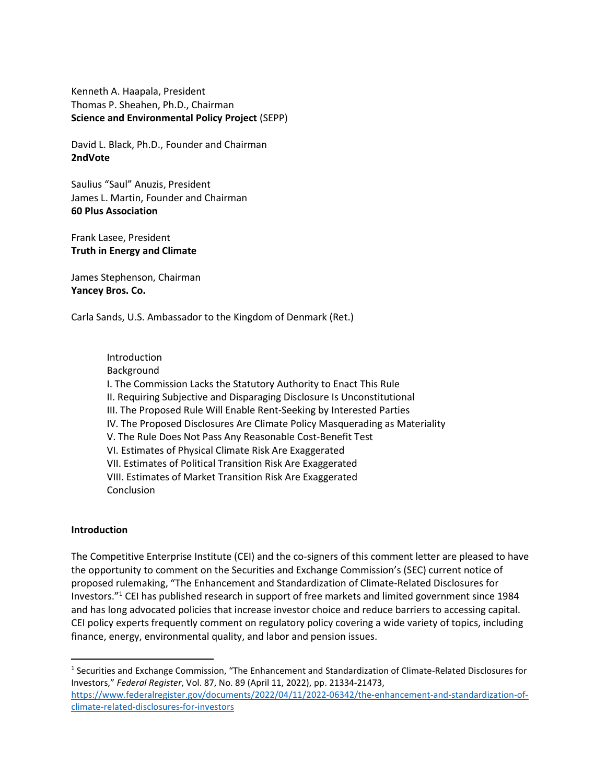Kenneth A. Haapala, President Thomas P. Sheahen, Ph.D., Chairman Science and Environmental Policy Project (SEPP)

David L. Black, Ph.D., Founder and Chairman 2ndVote

Saulius "Saul" Anuzis, President James L. Martin, Founder and Chairman 60 Plus Association

Frank Lasee, President Truth in Energy and Climate

James Stephenson, Chairman Yancey Bros. Co.

Carla Sands, U.S. Ambassador to the Kingdom of Denmark (Ret.)

 Introduction Background I. The Commission Lacks the Statutory Authority to Enact This Rule II. Requiring Subjective and Disparaging Disclosure Is Unconstitutional III. The Proposed Rule Will Enable Rent-Seeking by Interested Parties IV. The Proposed Disclosures Are Climate Policy Masquerading as Materiality V. The Rule Does Not Pass Any Reasonable Cost-Benefit Test VI. Estimates of Physical Climate Risk Are Exaggerated VII. Estimates of Political Transition Risk Are Exaggerated VIII. Estimates of Market Transition Risk Are Exaggerated **Conclusion** 

#### Introduction

 $\overline{a}$ 

The Competitive Enterprise Institute (CEI) and the co-signers of this comment letter are pleased to have the opportunity to comment on the Securities and Exchange Commission's (SEC) current notice of proposed rulemaking, "The Enhancement and Standardization of Climate-Related Disclosures for Investors."<sup>1</sup> CEI has published research in support of free markets and limited government since 1984 and has long advocated policies that increase investor choice and reduce barriers to accessing capital. CEI policy experts frequently comment on regulatory policy covering a wide variety of topics, including finance, energy, environmental quality, and labor and pension issues.

<sup>&</sup>lt;sup>1</sup> Securities and Exchange Commission, "The Enhancement and Standardization of Climate-Related Disclosures for Investors," Federal Register, Vol. 87, No. 89 (April 11, 2022), pp. 21334-21473, https://www.federalregister.gov/documents/2022/04/11/2022-06342/the-enhancement-and-standardization-ofclimate-related-disclosures-for-investors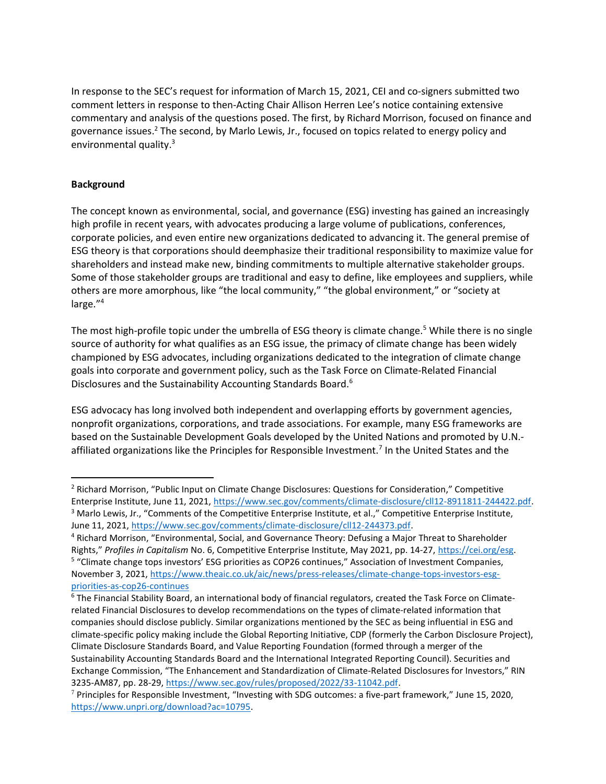In response to the SEC's request for information of March 15, 2021, CEI and co-signers submitted two comment letters in response to then-Acting Chair Allison Herren Lee's notice containing extensive commentary and analysis of the questions posed. The first, by Richard Morrison, focused on finance and governance issues.<sup>2</sup> The second, by Marlo Lewis, Jr., focused on topics related to energy policy and environmental quality.<sup>3</sup>

#### **Background**

The concept known as environmental, social, and governance (ESG) investing has gained an increasingly high profile in recent years, with advocates producing a large volume of publications, conferences, corporate policies, and even entire new organizations dedicated to advancing it. The general premise of ESG theory is that corporations should deemphasize their traditional responsibility to maximize value for shareholders and instead make new, binding commitments to multiple alternative stakeholder groups. Some of those stakeholder groups are traditional and easy to define, like employees and suppliers, while others are more amorphous, like "the local community," "the global environment," or "society at large."<sup>4</sup>

The most high-profile topic under the umbrella of ESG theory is climate change.<sup>5</sup> While there is no single source of authority for what qualifies as an ESG issue, the primacy of climate change has been widely championed by ESG advocates, including organizations dedicated to the integration of climate change goals into corporate and government policy, such as the Task Force on Climate-Related Financial Disclosures and the Sustainability Accounting Standards Board.<sup>6</sup>

ESG advocacy has long involved both independent and overlapping efforts by government agencies, nonprofit organizations, corporations, and trade associations. For example, many ESG frameworks are based on the Sustainable Development Goals developed by the United Nations and promoted by U.N. affiliated organizations like the Principles for Responsible Investment.<sup>7</sup> In the United States and the

<sup>&</sup>lt;sup>2</sup> Richard Morrison, "Public Input on Climate Change Disclosures: Questions for Consideration," Competitive Enterprise Institute, June 11, 2021, https://www.sec.gov/comments/climate-disclosure/cll12-8911811-244422.pdf. <sup>3</sup> Marlo Lewis, Jr., "Comments of the Competitive Enterprise Institute, et al.," Competitive Enterprise Institute, June 11, 2021, https://www.sec.gov/comments/climate-disclosure/cll12-244373.pdf.

<sup>4</sup> Richard Morrison, "Environmental, Social, and Governance Theory: Defusing a Major Threat to Shareholder Rights," Profiles in Capitalism No. 6, Competitive Enterprise Institute, May 2021, pp. 14-27, https://cei.org/esg. <sup>5</sup> "Climate change tops investors' ESG priorities as COP26 continues," Association of Investment Companies, November 3, 2021, https://www.theaic.co.uk/aic/news/press-releases/climate-change-tops-investors-esgpriorities-as-cop26-continues

<sup>6</sup> The Financial Stability Board, an international body of financial regulators, created the Task Force on Climaterelated Financial Disclosures to develop recommendations on the types of climate-related information that companies should disclose publicly. Similar organizations mentioned by the SEC as being influential in ESG and climate-specific policy making include the Global Reporting Initiative, CDP (formerly the Carbon Disclosure Project), Climate Disclosure Standards Board, and Value Reporting Foundation (formed through a merger of the Sustainability Accounting Standards Board and the International Integrated Reporting Council). Securities and Exchange Commission, "The Enhancement and Standardization of Climate-Related Disclosures for Investors," RIN 3235-AM87, pp. 28-29, https://www.sec.gov/rules/proposed/2022/33-11042.pdf.

<sup>7</sup> Principles for Responsible Investment, "Investing with SDG outcomes: a five-part framework," June 15, 2020, https://www.unpri.org/download?ac=10795.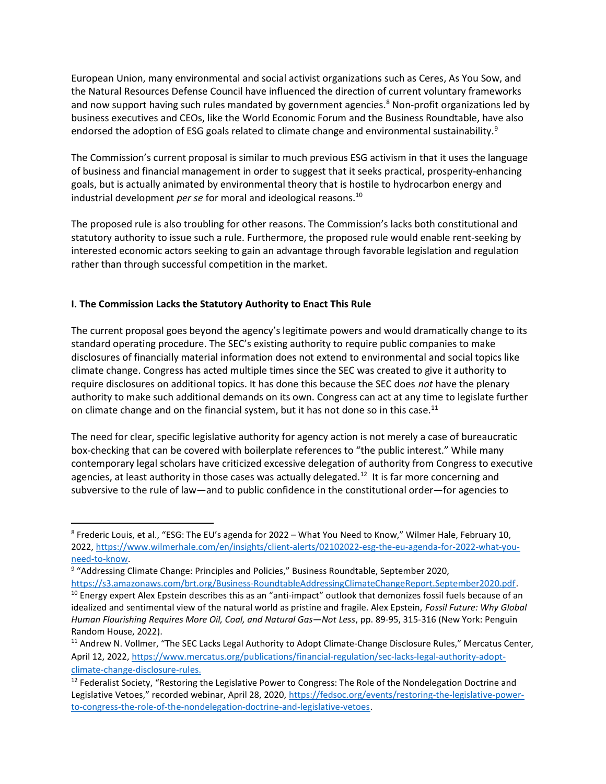European Union, many environmental and social activist organizations such as Ceres, As You Sow, and the Natural Resources Defense Council have influenced the direction of current voluntary frameworks and now support having such rules mandated by government agencies.<sup>8</sup> Non-profit organizations led by business executives and CEOs, like the World Economic Forum and the Business Roundtable, have also endorsed the adoption of ESG goals related to climate change and environmental sustainability.<sup>9</sup>

The Commission's current proposal is similar to much previous ESG activism in that it uses the language of business and financial management in order to suggest that it seeks practical, prosperity-enhancing goals, but is actually animated by environmental theory that is hostile to hydrocarbon energy and industrial development *per se* for moral and ideological reasons.<sup>10</sup>

The proposed rule is also troubling for other reasons. The Commission's lacks both constitutional and statutory authority to issue such a rule. Furthermore, the proposed rule would enable rent-seeking by interested economic actors seeking to gain an advantage through favorable legislation and regulation rather than through successful competition in the market.

## I. The Commission Lacks the Statutory Authority to Enact This Rule

The current proposal goes beyond the agency's legitimate powers and would dramatically change to its standard operating procedure. The SEC's existing authority to require public companies to make disclosures of financially material information does not extend to environmental and social topics like climate change. Congress has acted multiple times since the SEC was created to give it authority to require disclosures on additional topics. It has done this because the SEC does not have the plenary authority to make such additional demands on its own. Congress can act at any time to legislate further on climate change and on the financial system, but it has not done so in this case.<sup>11</sup>

The need for clear, specific legislative authority for agency action is not merely a case of bureaucratic box-checking that can be covered with boilerplate references to "the public interest." While many contemporary legal scholars have criticized excessive delegation of authority from Congress to executive agencies, at least authority in those cases was actually delegated.<sup>12</sup> It is far more concerning and subversive to the rule of law—and to public confidence in the constitutional order—for agencies to

<sup>&</sup>lt;sup>8</sup> Frederic Louis, et al., "ESG: The EU's agenda for 2022 – What You Need to Know," Wilmer Hale, February 10, 2022, https://www.wilmerhale.com/en/insights/client-alerts/02102022-esg-the-eu-agenda-for-2022-what-youneed-to-know.

<sup>&</sup>lt;sup>9</sup> "Addressing Climate Change: Principles and Policies," Business Roundtable, September 2020,

https://s3.amazonaws.com/brt.org/Business-RoundtableAddressingClimateChangeReport.September2020.pdf.  $10$  Energy expert Alex Epstein describes this as an "anti-impact" outlook that demonizes fossil fuels because of an idealized and sentimental view of the natural world as pristine and fragile. Alex Epstein, Fossil Future: Why Global Human Flourishing Requires More Oil, Coal, and Natural Gas—Not Less, pp. 89-95, 315-316 (New York: Penguin Random House, 2022).

<sup>&</sup>lt;sup>11</sup> Andrew N. Vollmer, "The SEC Lacks Legal Authority to Adopt Climate-Change Disclosure Rules," Mercatus Center, April 12, 2022, https://www.mercatus.org/publications/financial-regulation/sec-lacks-legal-authority-adoptclimate-change-disclosure-rules.

<sup>&</sup>lt;sup>12</sup> Federalist Society, "Restoring the Legislative Power to Congress: The Role of the Nondelegation Doctrine and Legislative Vetoes," recorded webinar, April 28, 2020, https://fedsoc.org/events/restoring-the-legislative-powerto-congress-the-role-of-the-nondelegation-doctrine-and-legislative-vetoes.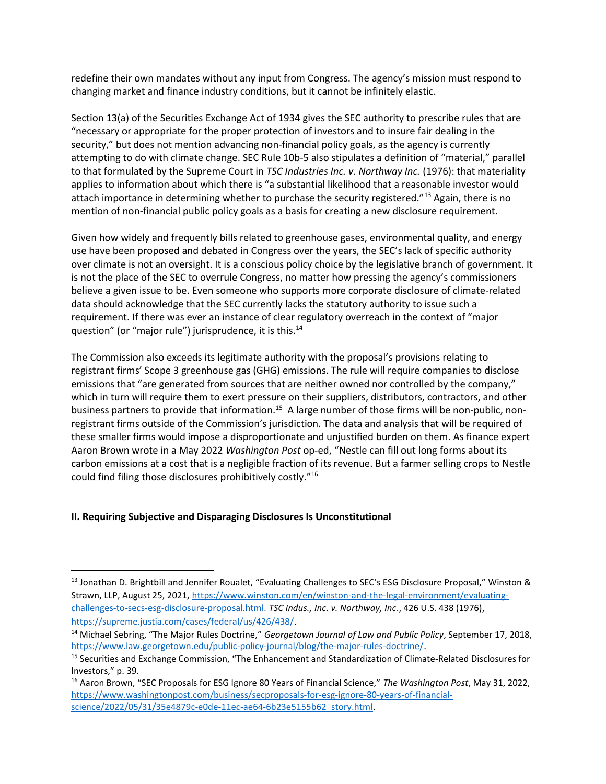redefine their own mandates without any input from Congress. The agency's mission must respond to changing market and finance industry conditions, but it cannot be infinitely elastic.

Section 13(a) of the Securities Exchange Act of 1934 gives the SEC authority to prescribe rules that are "necessary or appropriate for the proper protection of investors and to insure fair dealing in the security," but does not mention advancing non-financial policy goals, as the agency is currently attempting to do with climate change. SEC Rule 10b-5 also stipulates a definition of "material," parallel to that formulated by the Supreme Court in TSC Industries Inc. v. Northway Inc. (1976): that materiality applies to information about which there is "a substantial likelihood that a reasonable investor would attach importance in determining whether to purchase the security registered."<sup>13</sup> Again, there is no mention of non-financial public policy goals as a basis for creating a new disclosure requirement.

Given how widely and frequently bills related to greenhouse gases, environmental quality, and energy use have been proposed and debated in Congress over the years, the SEC's lack of specific authority over climate is not an oversight. It is a conscious policy choice by the legislative branch of government. It is not the place of the SEC to overrule Congress, no matter how pressing the agency's commissioners believe a given issue to be. Even someone who supports more corporate disclosure of climate-related data should acknowledge that the SEC currently lacks the statutory authority to issue such a requirement. If there was ever an instance of clear regulatory overreach in the context of "major question" (or "major rule") jurisprudence, it is this.<sup>14</sup>

The Commission also exceeds its legitimate authority with the proposal's provisions relating to registrant firms' Scope 3 greenhouse gas (GHG) emissions. The rule will require companies to disclose emissions that "are generated from sources that are neither owned nor controlled by the company," which in turn will require them to exert pressure on their suppliers, distributors, contractors, and other business partners to provide that information.<sup>15</sup> A large number of those firms will be non-public, nonregistrant firms outside of the Commission's jurisdiction. The data and analysis that will be required of these smaller firms would impose a disproportionate and unjustified burden on them. As finance expert Aaron Brown wrote in a May 2022 Washington Post op-ed, "Nestle can fill out long forms about its carbon emissions at a cost that is a negligible fraction of its revenue. But a farmer selling crops to Nestle could find filing those disclosures prohibitively costly."<sup>16</sup>

#### II. Requiring Subjective and Disparaging Disclosures Is Unconstitutional

<sup>13</sup> Jonathan D. Brightbill and Jennifer Roualet, "Evaluating Challenges to SEC's ESG Disclosure Proposal," Winston & Strawn, LLP, August 25, 2021, https://www.winston.com/en/winston-and-the-legal-environment/evaluatingchallenges-to-secs-esg-disclosure-proposal.html. TSC Indus., Inc. v. Northway, Inc., 426 U.S. 438 (1976), https://supreme.justia.com/cases/federal/us/426/438/.

<sup>&</sup>lt;sup>14</sup> Michael Sebring, "The Major Rules Doctrine," Georgetown Journal of Law and Public Policy, September 17, 2018, https://www.law.georgetown.edu/public-policy-journal/blog/the-major-rules-doctrine/.

<sup>15</sup> Securities and Exchange Commission, "The Enhancement and Standardization of Climate-Related Disclosures for Investors," p. 39.

<sup>&</sup>lt;sup>16</sup> Aaron Brown, "SEC Proposals for ESG Ignore 80 Years of Financial Science," The Washington Post, May 31, 2022, https://www.washingtonpost.com/business/secproposals-for-esg-ignore-80-years-of-financialscience/2022/05/31/35e4879c-e0de-11ec-ae64-6b23e5155b62\_story.html.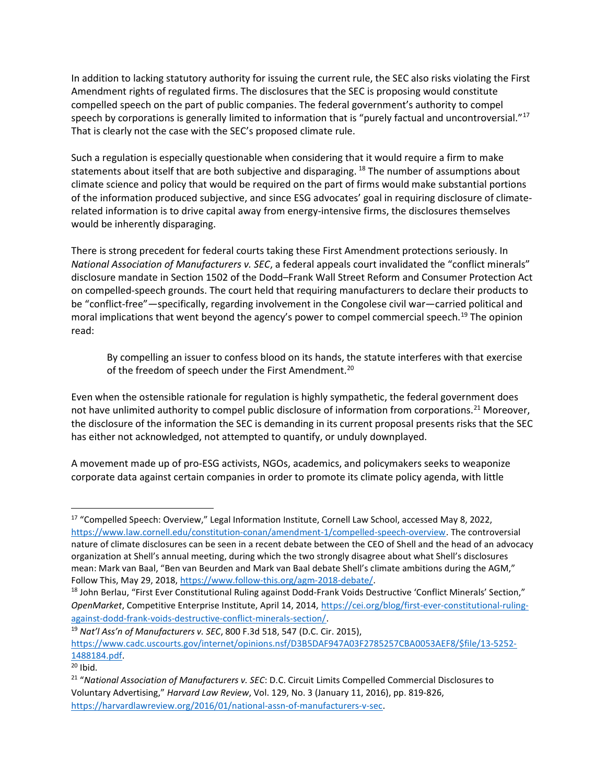In addition to lacking statutory authority for issuing the current rule, the SEC also risks violating the First Amendment rights of regulated firms. The disclosures that the SEC is proposing would constitute compelled speech on the part of public companies. The federal government's authority to compel speech by corporations is generally limited to information that is "purely factual and uncontroversial."<sup>17</sup> That is clearly not the case with the SEC's proposed climate rule.

Such a regulation is especially questionable when considering that it would require a firm to make statements about itself that are both subjective and disparaging.<sup>18</sup> The number of assumptions about climate science and policy that would be required on the part of firms would make substantial portions of the information produced subjective, and since ESG advocates' goal in requiring disclosure of climaterelated information is to drive capital away from energy-intensive firms, the disclosures themselves would be inherently disparaging.

There is strong precedent for federal courts taking these First Amendment protections seriously. In National Association of Manufacturers v. SEC, a federal appeals court invalidated the "conflict minerals" disclosure mandate in Section 1502 of the Dodd–Frank Wall Street Reform and Consumer Protection Act on compelled-speech grounds. The court held that requiring manufacturers to declare their products to be "conflict-free"—specifically, regarding involvement in the Congolese civil war—carried political and moral implications that went beyond the agency's power to compel commercial speech.<sup>19</sup> The opinion read:

By compelling an issuer to confess blood on its hands, the statute interferes with that exercise of the freedom of speech under the First Amendment.<sup>20</sup>

Even when the ostensible rationale for regulation is highly sympathetic, the federal government does not have unlimited authority to compel public disclosure of information from corporations.<sup>21</sup> Moreover, the disclosure of the information the SEC is demanding in its current proposal presents risks that the SEC has either not acknowledged, not attempted to quantify, or unduly downplayed.

A movement made up of pro-ESG activists, NGOs, academics, and policymakers seeks to weaponize corporate data against certain companies in order to promote its climate policy agenda, with little

 $19$  Nat'l Ass'n of Manufacturers v. SEC, 800 F.3d 518, 547 (D.C. Cir. 2015),

https://www.cadc.uscourts.gov/internet/opinions.nsf/D3B5DAF947A03F2785257CBA0053AEF8/\$file/13-5252- 1488184.pdf.

<sup>&</sup>lt;sup>17</sup> "Compelled Speech: Overview," Legal Information Institute, Cornell Law School, accessed May 8, 2022, https://www.law.cornell.edu/constitution-conan/amendment-1/compelled-speech-overview. The controversial nature of climate disclosures can be seen in a recent debate between the CEO of Shell and the head of an advocacy organization at Shell's annual meeting, during which the two strongly disagree about what Shell's disclosures mean: Mark van Baal, "Ben van Beurden and Mark van Baal debate Shell's climate ambitions during the AGM," Follow This, May 29, 2018, https://www.follow-this.org/agm-2018-debate/.

<sup>18</sup> John Berlau, "First Ever Constitutional Ruling against Dodd-Frank Voids Destructive 'Conflict Minerals' Section," OpenMarket, Competitive Enterprise Institute, April 14, 2014, https://cei.org/blog/first-ever-constitutional-rulingagainst-dodd-frank-voids-destructive-conflict-minerals-section/.

 $20$  Ibid.

<sup>&</sup>lt;sup>21</sup> "National Association of Manufacturers v. SEC: D.C. Circuit Limits Compelled Commercial Disclosures to Voluntary Advertising," Harvard Law Review, Vol. 129, No. 3 (January 11, 2016), pp. 819-826, https://harvardlawreview.org/2016/01/national-assn-of-manufacturers-v-sec.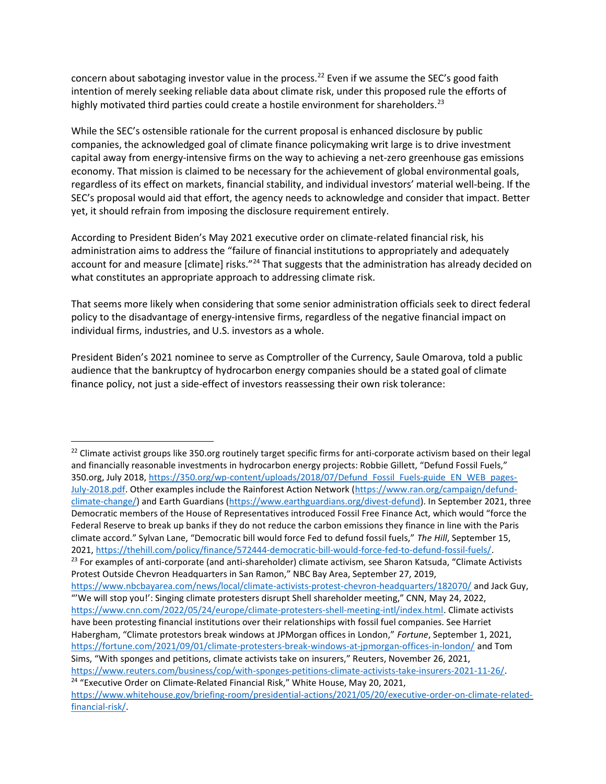concern about sabotaging investor value in the process.<sup>22</sup> Even if we assume the SEC's good faith intention of merely seeking reliable data about climate risk, under this proposed rule the efforts of highly motivated third parties could create a hostile environment for shareholders.<sup>23</sup>

While the SEC's ostensible rationale for the current proposal is enhanced disclosure by public companies, the acknowledged goal of climate finance policymaking writ large is to drive investment capital away from energy-intensive firms on the way to achieving a net-zero greenhouse gas emissions economy. That mission is claimed to be necessary for the achievement of global environmental goals, regardless of its effect on markets, financial stability, and individual investors' material well-being. If the SEC's proposal would aid that effort, the agency needs to acknowledge and consider that impact. Better yet, it should refrain from imposing the disclosure requirement entirely.

According to President Biden's May 2021 executive order on climate-related financial risk, his administration aims to address the "failure of financial institutions to appropriately and adequately account for and measure [climate] risks."<sup>24</sup> That suggests that the administration has already decided on what constitutes an appropriate approach to addressing climate risk.

That seems more likely when considering that some senior administration officials seek to direct federal policy to the disadvantage of energy-intensive firms, regardless of the negative financial impact on individual firms, industries, and U.S. investors as a whole.

President Biden's 2021 nominee to serve as Comptroller of the Currency, Saule Omarova, told a public audience that the bankruptcy of hydrocarbon energy companies should be a stated goal of climate finance policy, not just a side-effect of investors reassessing their own risk tolerance:

 $22$  Climate activist groups like 350.org routinely target specific firms for anti-corporate activism based on their legal and financially reasonable investments in hydrocarbon energy projects: Robbie Gillett, "Defund Fossil Fuels," 350.org, July 2018, https://350.org/wp-content/uploads/2018/07/Defund\_Fossil\_Fuels-guide\_EN\_WEB\_pages-July-2018.pdf. Other examples include the Rainforest Action Network (https://www.ran.org/campaign/defundclimate-change/) and Earth Guardians (https://www.earthguardians.org/divest-defund). In September 2021, three Democratic members of the House of Representatives introduced Fossil Free Finance Act, which would "force the Federal Reserve to break up banks if they do not reduce the carbon emissions they finance in line with the Paris climate accord." Sylvan Lane, "Democratic bill would force Fed to defund fossil fuels," The Hill, September 15, 2021, https://thehill.com/policy/finance/572444-democratic-bill-would-force-fed-to-defund-fossil-fuels/.  $^{23}$  For examples of anti-corporate (and anti-shareholder) climate activism, see Sharon Katsuda, "Climate Activists

Protest Outside Chevron Headquarters in San Ramon," NBC Bay Area, September 27, 2019,

https://www.nbcbayarea.com/news/local/climate-activists-protest-chevron-headquarters/182070/ and Jack Guy, "'We will stop you!': Singing climate protesters disrupt Shell shareholder meeting," CNN, May 24, 2022, https://www.cnn.com/2022/05/24/europe/climate-protesters-shell-meeting-intl/index.html. Climate activists have been protesting financial institutions over their relationships with fossil fuel companies. See Harriet Habergham, "Climate protestors break windows at JPMorgan offices in London," Fortune, September 1, 2021, https://fortune.com/2021/09/01/climate-protesters-break-windows-at-jpmorgan-offices-in-london/ and Tom Sims, "With sponges and petitions, climate activists take on insurers," Reuters, November 26, 2021, https://www.reuters.com/business/cop/with-sponges-petitions-climate-activists-take-insurers-2021-11-26/.

<sup>&</sup>lt;sup>24</sup> "Executive Order on Climate-Related Financial Risk," White House, May 20, 2021, https://www.whitehouse.gov/briefing-room/presidential-actions/2021/05/20/executive-order-on-climate-relatedfinancial-risk/.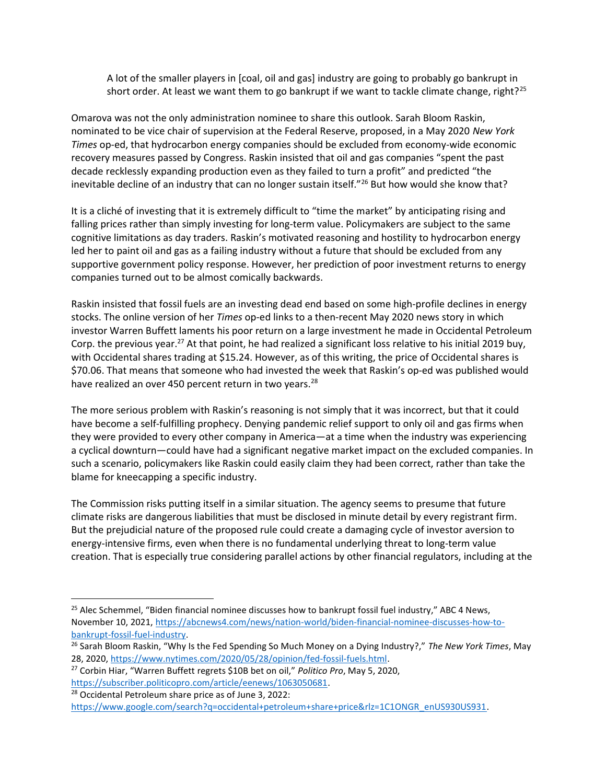A lot of the smaller players in [coal, oil and gas] industry are going to probably go bankrupt in short order. At least we want them to go bankrupt if we want to tackle climate change, right?<sup>25</sup>

Omarova was not the only administration nominee to share this outlook. Sarah Bloom Raskin, nominated to be vice chair of supervision at the Federal Reserve, proposed, in a May 2020 New York Times op-ed, that hydrocarbon energy companies should be excluded from economy-wide economic recovery measures passed by Congress. Raskin insisted that oil and gas companies "spent the past decade recklessly expanding production even as they failed to turn a profit" and predicted "the inevitable decline of an industry that can no longer sustain itself."<sup>26</sup> But how would she know that?

It is a cliché of investing that it is extremely difficult to "time the market" by anticipating rising and falling prices rather than simply investing for long-term value. Policymakers are subject to the same cognitive limitations as day traders. Raskin's motivated reasoning and hostility to hydrocarbon energy led her to paint oil and gas as a failing industry without a future that should be excluded from any supportive government policy response. However, her prediction of poor investment returns to energy companies turned out to be almost comically backwards.

Raskin insisted that fossil fuels are an investing dead end based on some high-profile declines in energy stocks. The online version of her Times op-ed links to a then-recent May 2020 news story in which investor Warren Buffett laments his poor return on a large investment he made in Occidental Petroleum Corp. the previous year.<sup>27</sup> At that point, he had realized a significant loss relative to his initial 2019 buy, with Occidental shares trading at \$15.24. However, as of this writing, the price of Occidental shares is \$70.06. That means that someone who had invested the week that Raskin's op-ed was published would have realized an over 450 percent return in two years.<sup>28</sup>

The more serious problem with Raskin's reasoning is not simply that it was incorrect, but that it could have become a self-fulfilling prophecy. Denying pandemic relief support to only oil and gas firms when they were provided to every other company in America—at a time when the industry was experiencing a cyclical downturn—could have had a significant negative market impact on the excluded companies. In such a scenario, policymakers like Raskin could easily claim they had been correct, rather than take the blame for kneecapping a specific industry.

The Commission risks putting itself in a similar situation. The agency seems to presume that future climate risks are dangerous liabilities that must be disclosed in minute detail by every registrant firm. But the prejudicial nature of the proposed rule could create a damaging cycle of investor aversion to energy-intensive firms, even when there is no fundamental underlying threat to long-term value creation. That is especially true considering parallel actions by other financial regulators, including at the

<sup>&</sup>lt;sup>25</sup> Alec Schemmel, "Biden financial nominee discusses how to bankrupt fossil fuel industry," ABC 4 News, November 10, 2021, https://abcnews4.com/news/nation-world/biden-financial-nominee-discusses-how-tobankrupt-fossil-fuel-industry.

<sup>&</sup>lt;sup>26</sup> Sarah Bloom Raskin, "Why Is the Fed Spending So Much Money on a Dying Industry?," The New York Times, May 28, 2020, https://www.nytimes.com/2020/05/28/opinion/fed-fossil-fuels.html.

<sup>&</sup>lt;sup>27</sup> Corbin Hiar, "Warren Buffett regrets \$10B bet on oil," Politico Pro, May 5, 2020, https://subscriber.politicopro.com/article/eenews/1063050681.

<sup>28</sup> Occidental Petroleum share price as of June 3, 2022:

https://www.google.com/search?q=occidental+petroleum+share+price&rlz=1C1ONGR\_enUS930US931.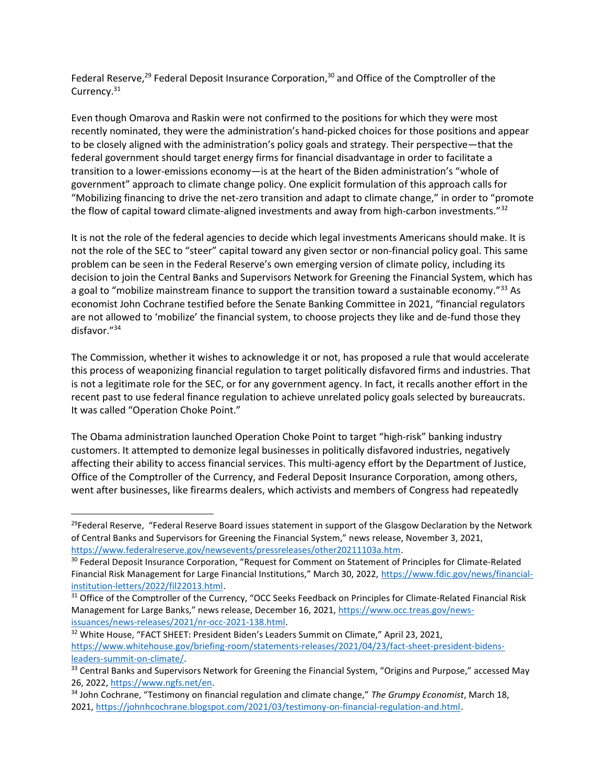Federal Reserve,<sup>29</sup> Federal Deposit Insurance Corporation,<sup>30</sup> and Office of the Comptroller of the Currency.<sup>31</sup>

Even though Omarova and Raskin were not confirmed to the positions for which they were most recently nominated, they were the administration's hand-picked choices for those positions and appear to be closely aligned with the administration's policy goals and strategy. Their perspective—that the federal government should target energy firms for financial disadvantage in order to facilitate a transition to a lower-emissions economy—is at the heart of the Biden administration's "whole of government" approach to climate change policy. One explicit formulation of this approach calls for "Mobilizing financing to drive the net-zero transition and adapt to climate change," in order to "promote the flow of capital toward climate-aligned investments and away from high-carbon investments."<sup>32</sup>

It is not the role of the federal agencies to decide which legal investments Americans should make. It is not the role of the SEC to "steer" capital toward any given sector or non-financial policy goal. This same problem can be seen in the Federal Reserve's own emerging version of climate policy, including its decision to join the Central Banks and Supervisors Network for Greening the Financial System, which has a goal to "mobilize mainstream finance to support the transition toward a sustainable economy."<sup>33</sup> As economist John Cochrane testified before the Senate Banking Committee in 2021, "financial regulators are not allowed to 'mobilize' the financial system, to choose projects they like and de-fund those they disfavor."<sup>34</sup>

The Commission, whether it wishes to acknowledge it or not, has proposed a rule that would accelerate this process of weaponizing financial regulation to target politically disfavored firms and industries. That is not a legitimate role for the SEC, or for any government agency. In fact, it recalls another effort in the recent past to use federal finance regulation to achieve unrelated policy goals selected by bureaucrats. It was called "Operation Choke Point."

The Obama administration launched Operation Choke Point to target "high-risk" banking industry customers. It attempted to demonize legal businesses in politically disfavored industries, negatively affecting their ability to access financial services. This multi-agency effort by the Department of Justice, Office of the Comptroller of the Currency, and Federal Deposit Insurance Corporation, among others, went after businesses, like firearms dealers, which activists and members of Congress had repeatedly

<sup>&</sup>lt;sup>29</sup>Federal Reserve, "Federal Reserve Board issues statement in support of the Glasgow Declaration by the Network of Central Banks and Supervisors for Greening the Financial System," news release, November 3, 2021, https://www.federalreserve.gov/newsevents/pressreleases/other20211103a.htm.

<sup>&</sup>lt;sup>30</sup> Federal Deposit Insurance Corporation, "Request for Comment on Statement of Principles for Climate-Related Financial Risk Management for Large Financial Institutions," March 30, 2022, https://www.fdic.gov/news/financialinstitution-letters/2022/fil22013.html.

<sup>&</sup>lt;sup>31</sup> Office of the Comptroller of the Currency, "OCC Seeks Feedback on Principles for Climate-Related Financial Risk Management for Large Banks," news release, December 16, 2021, https://www.occ.treas.gov/newsissuances/news-releases/2021/nr-occ-2021-138.html.

<sup>&</sup>lt;sup>32</sup> White House, "FACT SHEET: President Biden's Leaders Summit on Climate," April 23, 2021, https://www.whitehouse.gov/briefing-room/statements-releases/2021/04/23/fact-sheet-president-bidensleaders-summit-on-climate/.

<sup>&</sup>lt;sup>33</sup> Central Banks and Supervisors Network for Greening the Financial System, "Origins and Purpose," accessed May 26, 2022, https://www.ngfs.net/en.

<sup>&</sup>lt;sup>34</sup> John Cochrane, "Testimony on financial regulation and climate change," The Grumpy Economist, March 18, 2021, https://johnhcochrane.blogspot.com/2021/03/testimony-on-financial-regulation-and.html.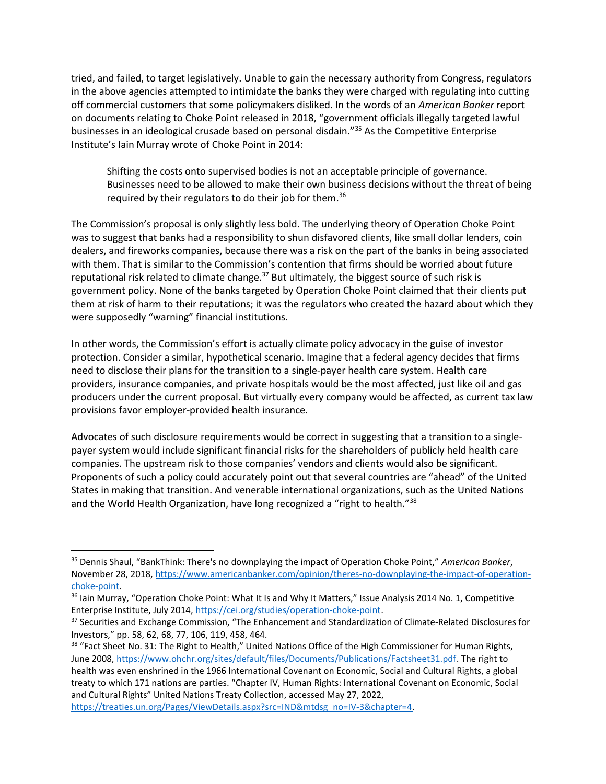tried, and failed, to target legislatively. Unable to gain the necessary authority from Congress, regulators in the above agencies attempted to intimidate the banks they were charged with regulating into cutting off commercial customers that some policymakers disliked. In the words of an American Banker report on documents relating to Choke Point released in 2018, "government officials illegally targeted lawful businesses in an ideological crusade based on personal disdain."<sup>35</sup> As the Competitive Enterprise Institute's Iain Murray wrote of Choke Point in 2014:

Shifting the costs onto supervised bodies is not an acceptable principle of governance. Businesses need to be allowed to make their own business decisions without the threat of being required by their regulators to do their job for them.<sup>36</sup>

The Commission's proposal is only slightly less bold. The underlying theory of Operation Choke Point was to suggest that banks had a responsibility to shun disfavored clients, like small dollar lenders, coin dealers, and fireworks companies, because there was a risk on the part of the banks in being associated with them. That is similar to the Commission's contention that firms should be worried about future reputational risk related to climate change.<sup>37</sup> But ultimately, the biggest source of such risk is government policy. None of the banks targeted by Operation Choke Point claimed that their clients put them at risk of harm to their reputations; it was the regulators who created the hazard about which they were supposedly "warning" financial institutions.

In other words, the Commission's effort is actually climate policy advocacy in the guise of investor protection. Consider a similar, hypothetical scenario. Imagine that a federal agency decides that firms need to disclose their plans for the transition to a single-payer health care system. Health care providers, insurance companies, and private hospitals would be the most affected, just like oil and gas producers under the current proposal. But virtually every company would be affected, as current tax law provisions favor employer-provided health insurance.

Advocates of such disclosure requirements would be correct in suggesting that a transition to a singlepayer system would include significant financial risks for the shareholders of publicly held health care companies. The upstream risk to those companies' vendors and clients would also be significant. Proponents of such a policy could accurately point out that several countries are "ahead" of the United States in making that transition. And venerable international organizations, such as the United Nations and the World Health Organization, have long recognized a "right to health."<sup>38</sup>

https://treaties.un.org/Pages/ViewDetails.aspx?src=IND&mtdsg\_no=IV-3&chapter=4.

<sup>&</sup>lt;sup>35</sup> Dennis Shaul, "BankThink: There's no downplaying the impact of Operation Choke Point," American Banker, November 28, 2018, https://www.americanbanker.com/opinion/theres-no-downplaying-the-impact-of-operationchoke-point.

<sup>&</sup>lt;sup>36</sup> Iain Murray, "Operation Choke Point: What It Is and Why It Matters," Issue Analysis 2014 No. 1, Competitive Enterprise Institute, July 2014, https://cei.org/studies/operation-choke-point.

<sup>&</sup>lt;sup>37</sup> Securities and Exchange Commission, "The Enhancement and Standardization of Climate-Related Disclosures for Investors," pp. 58, 62, 68, 77, 106, 119, 458, 464.

<sup>&</sup>lt;sup>38</sup> "Fact Sheet No. 31: The Right to Health," United Nations Office of the High Commissioner for Human Rights, June 2008, https://www.ohchr.org/sites/default/files/Documents/Publications/Factsheet31.pdf. The right to

health was even enshrined in the 1966 International Covenant on Economic, Social and Cultural Rights, a global treaty to which 171 nations are parties. "Chapter IV, Human Rights: International Covenant on Economic, Social and Cultural Rights" United Nations Treaty Collection, accessed May 27, 2022,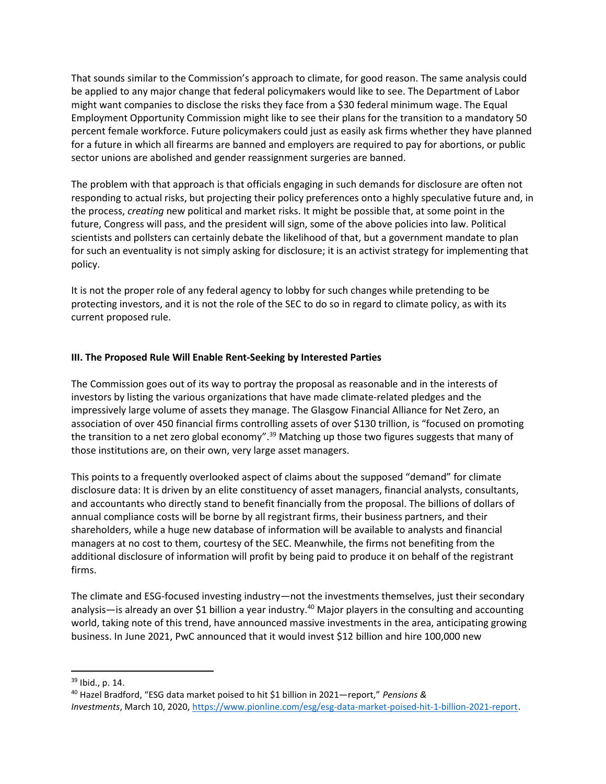That sounds similar to the Commission's approach to climate, for good reason. The same analysis could be applied to any major change that federal policymakers would like to see. The Department of Labor might want companies to disclose the risks they face from a \$30 federal minimum wage. The Equal Employment Opportunity Commission might like to see their plans for the transition to a mandatory 50 percent female workforce. Future policymakers could just as easily ask firms whether they have planned for a future in which all firearms are banned and employers are required to pay for abortions, or public sector unions are abolished and gender reassignment surgeries are banned.

The problem with that approach is that officials engaging in such demands for disclosure are often not responding to actual risks, but projecting their policy preferences onto a highly speculative future and, in the process, creating new political and market risks. It might be possible that, at some point in the future, Congress will pass, and the president will sign, some of the above policies into law. Political scientists and pollsters can certainly debate the likelihood of that, but a government mandate to plan for such an eventuality is not simply asking for disclosure; it is an activist strategy for implementing that policy.

It is not the proper role of any federal agency to lobby for such changes while pretending to be protecting investors, and it is not the role of the SEC to do so in regard to climate policy, as with its current proposed rule.

## III. The Proposed Rule Will Enable Rent-Seeking by Interested Parties

The Commission goes out of its way to portray the proposal as reasonable and in the interests of investors by listing the various organizations that have made climate-related pledges and the impressively large volume of assets they manage. The Glasgow Financial Alliance for Net Zero, an association of over 450 financial firms controlling assets of over \$130 trillion, is "focused on promoting the transition to a net zero global economy".<sup>39</sup> Matching up those two figures suggests that many of those institutions are, on their own, very large asset managers.

This points to a frequently overlooked aspect of claims about the supposed "demand" for climate disclosure data: It is driven by an elite constituency of asset managers, financial analysts, consultants, and accountants who directly stand to benefit financially from the proposal. The billions of dollars of annual compliance costs will be borne by all registrant firms, their business partners, and their shareholders, while a huge new database of information will be available to analysts and financial managers at no cost to them, courtesy of the SEC. Meanwhile, the firms not benefiting from the additional disclosure of information will profit by being paid to produce it on behalf of the registrant firms.

The climate and ESG-focused investing industry—not the investments themselves, just their secondary analysis—is already an over \$1 billion a year industry.<sup>40</sup> Major players in the consulting and accounting world, taking note of this trend, have announced massive investments in the area, anticipating growing business. In June 2021, PwC announced that it would invest \$12 billion and hire 100,000 new

<sup>39</sup> Ibid., p. 14.

<sup>40</sup> Hazel Bradford, "ESG data market poised to hit \$1 billion in 2021—report," Pensions & Investments, March 10, 2020, https://www.pionline.com/esg/esg-data-market-poised-hit-1-billion-2021-report.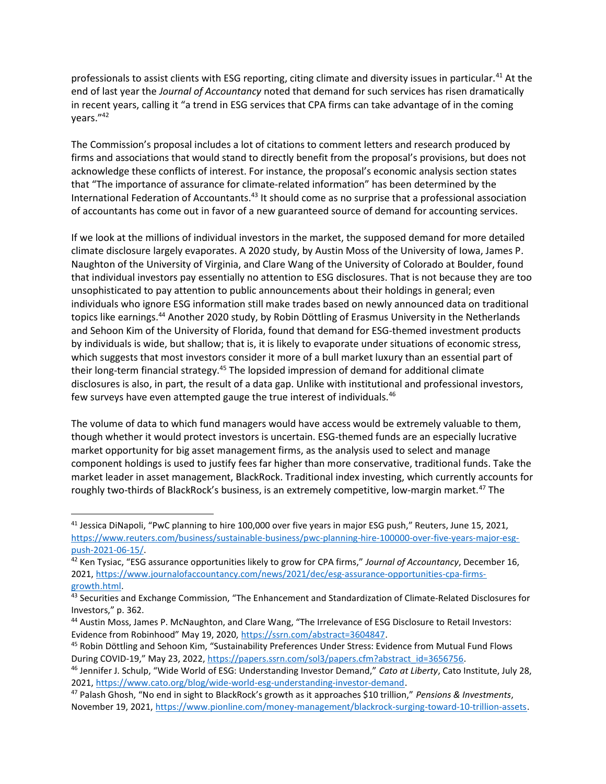professionals to assist clients with ESG reporting, citing climate and diversity issues in particular.<sup>41</sup> At the end of last year the Journal of Accountancy noted that demand for such services has risen dramatically in recent years, calling it "a trend in ESG services that CPA firms can take advantage of in the coming years."<sup>42</sup>

The Commission's proposal includes a lot of citations to comment letters and research produced by firms and associations that would stand to directly benefit from the proposal's provisions, but does not acknowledge these conflicts of interest. For instance, the proposal's economic analysis section states that "The importance of assurance for climate-related information" has been determined by the International Federation of Accountants.<sup>43</sup> It should come as no surprise that a professional association of accountants has come out in favor of a new guaranteed source of demand for accounting services.

If we look at the millions of individual investors in the market, the supposed demand for more detailed climate disclosure largely evaporates. A 2020 study, by Austin Moss of the University of Iowa, James P. Naughton of the University of Virginia, and Clare Wang of the University of Colorado at Boulder, found that individual investors pay essentially no attention to ESG disclosures. That is not because they are too unsophisticated to pay attention to public announcements about their holdings in general; even individuals who ignore ESG information still make trades based on newly announced data on traditional topics like earnings.<sup>44</sup> Another 2020 study, by Robin Döttling of Erasmus University in the Netherlands and Sehoon Kim of the University of Florida, found that demand for ESG-themed investment products by individuals is wide, but shallow; that is, it is likely to evaporate under situations of economic stress, which suggests that most investors consider it more of a bull market luxury than an essential part of their long-term financial strategy.<sup>45</sup> The lopsided impression of demand for additional climate disclosures is also, in part, the result of a data gap. Unlike with institutional and professional investors, few surveys have even attempted gauge the true interest of individuals.<sup>46</sup>

The volume of data to which fund managers would have access would be extremely valuable to them, though whether it would protect investors is uncertain. ESG-themed funds are an especially lucrative market opportunity for big asset management firms, as the analysis used to select and manage component holdings is used to justify fees far higher than more conservative, traditional funds. Take the market leader in asset management, BlackRock. Traditional index investing, which currently accounts for roughly two-thirds of BlackRock's business, is an extremely competitive, low-margin market.<sup>47</sup> The

 $41$  Jessica DiNapoli, "PwC planning to hire 100,000 over five years in major ESG push," Reuters, June 15, 2021, https://www.reuters.com/business/sustainable-business/pwc-planning-hire-100000-over-five-years-major-esgpush-2021-06-15/.

<sup>&</sup>lt;sup>42</sup> Ken Tysiac, "ESG assurance opportunities likely to grow for CPA firms," Journal of Accountancy, December 16, 2021, https://www.journalofaccountancy.com/news/2021/dec/esg-assurance-opportunities-cpa-firmsgrowth.html.

<sup>43</sup> Securities and Exchange Commission, "The Enhancement and Standardization of Climate-Related Disclosures for Investors," p. 362.

<sup>44</sup> Austin Moss, James P. McNaughton, and Clare Wang, "The Irrelevance of ESG Disclosure to Retail Investors: Evidence from Robinhood" May 19, 2020, https://ssrn.com/abstract=3604847.

<sup>45</sup> Robin Döttling and Sehoon Kim, "Sustainability Preferences Under Stress: Evidence from Mutual Fund Flows During COVID-19," May 23, 2022, https://papers.ssrn.com/sol3/papers.cfm?abstract\_id=3656756.

<sup>&</sup>lt;sup>46</sup> Jennifer J. Schulp, "Wide World of ESG: Understanding Investor Demand," Cato at Liberty, Cato Institute, July 28, 2021, https://www.cato.org/blog/wide-world-esg-understanding-investor-demand.

 $47$  Palash Ghosh, "No end in sight to BlackRock's growth as it approaches \$10 trillion," Pensions & Investments, November 19, 2021, https://www.pionline.com/money-management/blackrock-surging-toward-10-trillion-assets.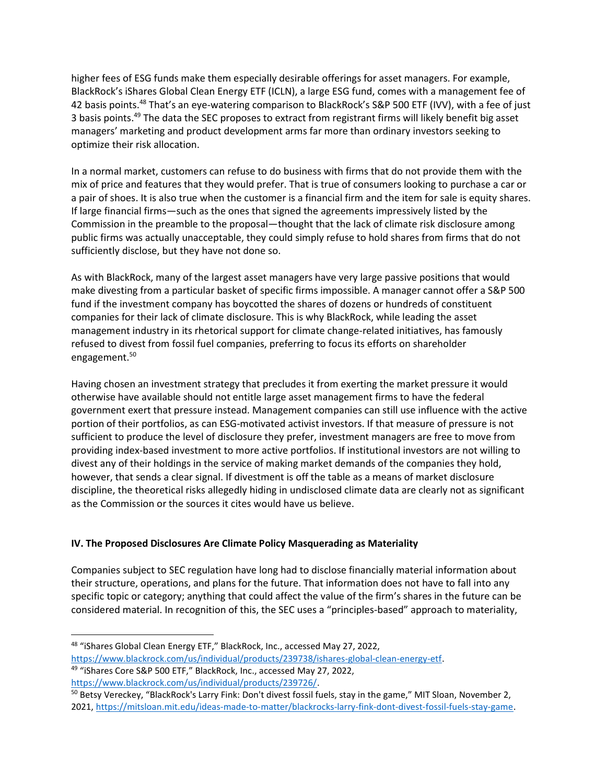higher fees of ESG funds make them especially desirable offerings for asset managers. For example, BlackRock's iShares Global Clean Energy ETF (ICLN), a large ESG fund, comes with a management fee of 42 basis points.<sup>48</sup> That's an eye-watering comparison to BlackRock's S&P 500 ETF (IVV), with a fee of just 3 basis points.<sup>49</sup> The data the SEC proposes to extract from registrant firms will likely benefit big asset managers' marketing and product development arms far more than ordinary investors seeking to optimize their risk allocation.

In a normal market, customers can refuse to do business with firms that do not provide them with the mix of price and features that they would prefer. That is true of consumers looking to purchase a car or a pair of shoes. It is also true when the customer is a financial firm and the item for sale is equity shares. If large financial firms—such as the ones that signed the agreements impressively listed by the Commission in the preamble to the proposal—thought that the lack of climate risk disclosure among public firms was actually unacceptable, they could simply refuse to hold shares from firms that do not sufficiently disclose, but they have not done so.

As with BlackRock, many of the largest asset managers have very large passive positions that would make divesting from a particular basket of specific firms impossible. A manager cannot offer a S&P 500 fund if the investment company has boycotted the shares of dozens or hundreds of constituent companies for their lack of climate disclosure. This is why BlackRock, while leading the asset management industry in its rhetorical support for climate change-related initiatives, has famously refused to divest from fossil fuel companies, preferring to focus its efforts on shareholder engagement.<sup>50</sup>

Having chosen an investment strategy that precludes it from exerting the market pressure it would otherwise have available should not entitle large asset management firms to have the federal government exert that pressure instead. Management companies can still use influence with the active portion of their portfolios, as can ESG-motivated activist investors. If that measure of pressure is not sufficient to produce the level of disclosure they prefer, investment managers are free to move from providing index-based investment to more active portfolios. If institutional investors are not willing to divest any of their holdings in the service of making market demands of the companies they hold, however, that sends a clear signal. If divestment is off the table as a means of market disclosure discipline, the theoretical risks allegedly hiding in undisclosed climate data are clearly not as significant as the Commission or the sources it cites would have us believe.

## IV. The Proposed Disclosures Are Climate Policy Masquerading as Materiality

Companies subject to SEC regulation have long had to disclose financially material information about their structure, operations, and plans for the future. That information does not have to fall into any specific topic or category; anything that could affect the value of the firm's shares in the future can be considered material. In recognition of this, the SEC uses a "principles-based" approach to materiality,

<sup>48</sup> "iShares Global Clean Energy ETF," BlackRock, Inc., accessed May 27, 2022, https://www.blackrock.com/us/individual/products/239738/ishares-global-clean-energy-etf.

<sup>49</sup> "iShares Core S&P 500 ETF," BlackRock, Inc., accessed May 27, 2022, https://www.blackrock.com/us/individual/products/239726/.

<sup>&</sup>lt;sup>50</sup> Betsy Vereckey, "BlackRock's Larry Fink: Don't divest fossil fuels, stay in the game," MIT Sloan, November 2, 2021, https://mitsloan.mit.edu/ideas-made-to-matter/blackrocks-larry-fink-dont-divest-fossil-fuels-stay-game.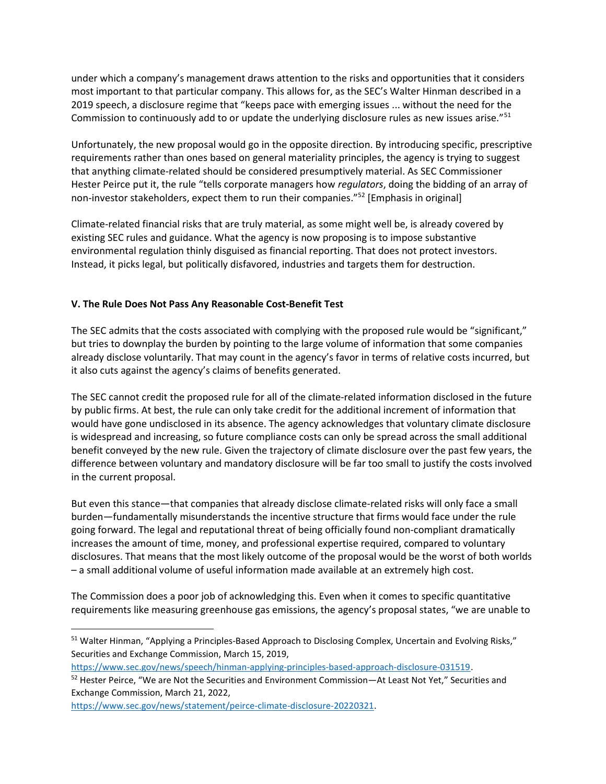under which a company's management draws attention to the risks and opportunities that it considers most important to that particular company. This allows for, as the SEC's Walter Hinman described in a 2019 speech, a disclosure regime that "keeps pace with emerging issues ... without the need for the Commission to continuously add to or update the underlying disclosure rules as new issues arise." $51$ 

Unfortunately, the new proposal would go in the opposite direction. By introducing specific, prescriptive requirements rather than ones based on general materiality principles, the agency is trying to suggest that anything climate-related should be considered presumptively material. As SEC Commissioner Hester Peirce put it, the rule "tells corporate managers how regulators, doing the bidding of an array of non-investor stakeholders, expect them to run their companies."<sup>52</sup> [Emphasis in original]

Climate-related financial risks that are truly material, as some might well be, is already covered by existing SEC rules and guidance. What the agency is now proposing is to impose substantive environmental regulation thinly disguised as financial reporting. That does not protect investors. Instead, it picks legal, but politically disfavored, industries and targets them for destruction.

## V. The Rule Does Not Pass Any Reasonable Cost-Benefit Test

The SEC admits that the costs associated with complying with the proposed rule would be "significant," but tries to downplay the burden by pointing to the large volume of information that some companies already disclose voluntarily. That may count in the agency's favor in terms of relative costs incurred, but it also cuts against the agency's claims of benefits generated.

The SEC cannot credit the proposed rule for all of the climate-related information disclosed in the future by public firms. At best, the rule can only take credit for the additional increment of information that would have gone undisclosed in its absence. The agency acknowledges that voluntary climate disclosure is widespread and increasing, so future compliance costs can only be spread across the small additional benefit conveyed by the new rule. Given the trajectory of climate disclosure over the past few years, the difference between voluntary and mandatory disclosure will be far too small to justify the costs involved in the current proposal.

But even this stance—that companies that already disclose climate-related risks will only face a small burden—fundamentally misunderstands the incentive structure that firms would face under the rule going forward. The legal and reputational threat of being officially found non-compliant dramatically increases the amount of time, money, and professional expertise required, compared to voluntary disclosures. That means that the most likely outcome of the proposal would be the worst of both worlds – a small additional volume of useful information made available at an extremely high cost.

The Commission does a poor job of acknowledging this. Even when it comes to specific quantitative requirements like measuring greenhouse gas emissions, the agency's proposal states, "we are unable to

<sup>&</sup>lt;sup>51</sup> Walter Hinman, "Applying a Principles-Based Approach to Disclosing Complex, Uncertain and Evolving Risks," Securities and Exchange Commission, March 15, 2019,

https://www.sec.gov/news/speech/hinman-applying-principles-based-approach-disclosure-031519.

<sup>52</sup> Hester Peirce, "We are Not the Securities and Environment Commission—At Least Not Yet," Securities and Exchange Commission, March 21, 2022,

https://www.sec.gov/news/statement/peirce-climate-disclosure-20220321.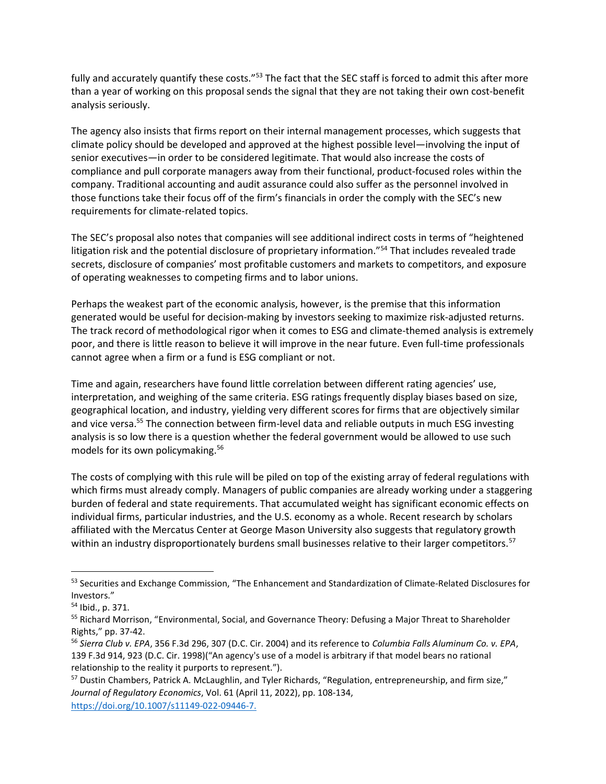fully and accurately quantify these costs."<sup>53</sup> The fact that the SEC staff is forced to admit this after more than a year of working on this proposal sends the signal that they are not taking their own cost-benefit analysis seriously.

The agency also insists that firms report on their internal management processes, which suggests that climate policy should be developed and approved at the highest possible level—involving the input of senior executives—in order to be considered legitimate. That would also increase the costs of compliance and pull corporate managers away from their functional, product-focused roles within the company. Traditional accounting and audit assurance could also suffer as the personnel involved in those functions take their focus off of the firm's financials in order the comply with the SEC's new requirements for climate-related topics.

The SEC's proposal also notes that companies will see additional indirect costs in terms of "heightened litigation risk and the potential disclosure of proprietary information."<sup>54</sup> That includes revealed trade secrets, disclosure of companies' most profitable customers and markets to competitors, and exposure of operating weaknesses to competing firms and to labor unions.

Perhaps the weakest part of the economic analysis, however, is the premise that this information generated would be useful for decision-making by investors seeking to maximize risk-adjusted returns. The track record of methodological rigor when it comes to ESG and climate-themed analysis is extremely poor, and there is little reason to believe it will improve in the near future. Even full-time professionals cannot agree when a firm or a fund is ESG compliant or not.

Time and again, researchers have found little correlation between different rating agencies' use, interpretation, and weighing of the same criteria. ESG ratings frequently display biases based on size, geographical location, and industry, yielding very different scores for firms that are objectively similar and vice versa.<sup>55</sup> The connection between firm-level data and reliable outputs in much ESG investing analysis is so low there is a question whether the federal government would be allowed to use such models for its own policymaking.<sup>56</sup>

The costs of complying with this rule will be piled on top of the existing array of federal regulations with which firms must already comply. Managers of public companies are already working under a staggering burden of federal and state requirements. That accumulated weight has significant economic effects on individual firms, particular industries, and the U.S. economy as a whole. Recent research by scholars affiliated with the Mercatus Center at George Mason University also suggests that regulatory growth within an industry disproportionately burdens small businesses relative to their larger competitors.<sup>57</sup>

<sup>53</sup> Securities and Exchange Commission, "The Enhancement and Standardization of Climate-Related Disclosures for Investors."

<sup>54</sup> Ibid., p. 371.

<sup>&</sup>lt;sup>55</sup> Richard Morrison, "Environmental, Social, and Governance Theory: Defusing a Major Threat to Shareholder Rights," pp. 37-42.

<sup>56</sup> Sierra Club v. EPA, 356 F.3d 296, 307 (D.C. Cir. 2004) and its reference to Columbia Falls Aluminum Co. v. EPA, 139 F.3d 914, 923 (D.C. Cir. 1998)("An agency's use of a model is arbitrary if that model bears no rational relationship to the reality it purports to represent.").

<sup>57</sup> Dustin Chambers, Patrick A. McLaughlin, and Tyler Richards, "Regulation, entrepreneurship, and firm size," Journal of Regulatory Economics, Vol. 61 (April 11, 2022), pp. 108-134, https://doi.org/10.1007/s11149-022-09446-7.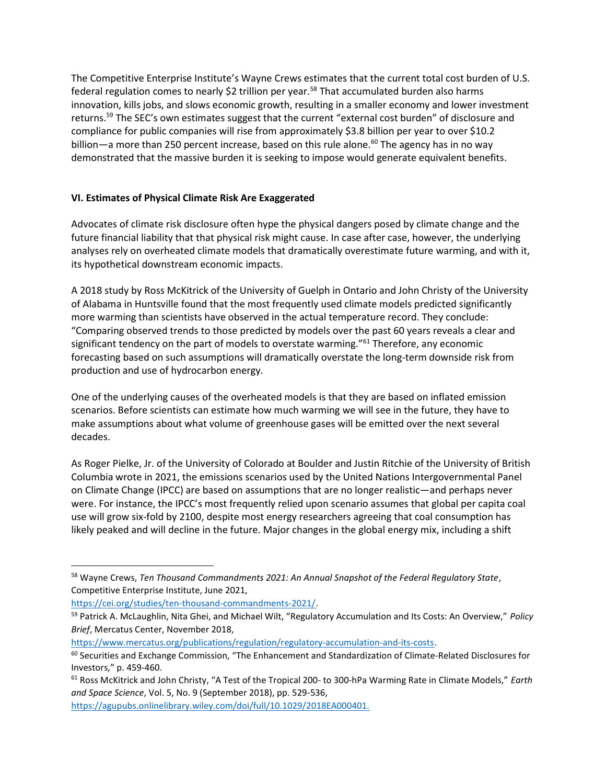The Competitive Enterprise Institute's Wayne Crews estimates that the current total cost burden of U.S. federal regulation comes to nearly \$2 trillion per year.<sup>58</sup> That accumulated burden also harms innovation, kills jobs, and slows economic growth, resulting in a smaller economy and lower investment returns.<sup>59</sup> The SEC's own estimates suggest that the current "external cost burden" of disclosure and compliance for public companies will rise from approximately \$3.8 billion per year to over \$10.2 billion—a more than 250 percent increase, based on this rule alone.<sup>60</sup> The agency has in no way demonstrated that the massive burden it is seeking to impose would generate equivalent benefits.

## VI. Estimates of Physical Climate Risk Are Exaggerated

Advocates of climate risk disclosure often hype the physical dangers posed by climate change and the future financial liability that that physical risk might cause. In case after case, however, the underlying analyses rely on overheated climate models that dramatically overestimate future warming, and with it, its hypothetical downstream economic impacts.

A 2018 study by Ross McKitrick of the University of Guelph in Ontario and John Christy of the University of Alabama in Huntsville found that the most frequently used climate models predicted significantly more warming than scientists have observed in the actual temperature record. They conclude: "Comparing observed trends to those predicted by models over the past 60 years reveals a clear and significant tendency on the part of models to overstate warming."<sup>61</sup> Therefore, any economic forecasting based on such assumptions will dramatically overstate the long-term downside risk from production and use of hydrocarbon energy.

One of the underlying causes of the overheated models is that they are based on inflated emission scenarios. Before scientists can estimate how much warming we will see in the future, they have to make assumptions about what volume of greenhouse gases will be emitted over the next several decades.

As Roger Pielke, Jr. of the University of Colorado at Boulder and Justin Ritchie of the University of British Columbia wrote in 2021, the emissions scenarios used by the United Nations Intergovernmental Panel on Climate Change (IPCC) are based on assumptions that are no longer realistic—and perhaps never were. For instance, the IPCC's most frequently relied upon scenario assumes that global per capita coal use will grow six-fold by 2100, despite most energy researchers agreeing that coal consumption has likely peaked and will decline in the future. Major changes in the global energy mix, including a shift

<sup>58</sup> Wayne Crews, Ten Thousand Commandments 2021: An Annual Snapshot of the Federal Regulatory State, Competitive Enterprise Institute, June 2021,

https://cei.org/studies/ten-thousand-commandments-2021/.

<sup>59</sup> Patrick A. McLaughlin, Nita Ghei, and Michael Wilt, "Regulatory Accumulation and Its Costs: An Overview," Policy Brief, Mercatus Center, November 2018,

https://www.mercatus.org/publications/regulation/regulatory-accumulation-and-its-costs.

<sup>&</sup>lt;sup>60</sup> Securities and Exchange Commission, "The Enhancement and Standardization of Climate-Related Disclosures for Investors," p. 459-460.

 $61$  Ross McKitrick and John Christy, "A Test of the Tropical 200- to 300-hPa Warming Rate in Climate Models," Earth and Space Science, Vol. 5, No. 9 (September 2018), pp. 529-536,

https://agupubs.onlinelibrary.wiley.com/doi/full/10.1029/2018EA000401.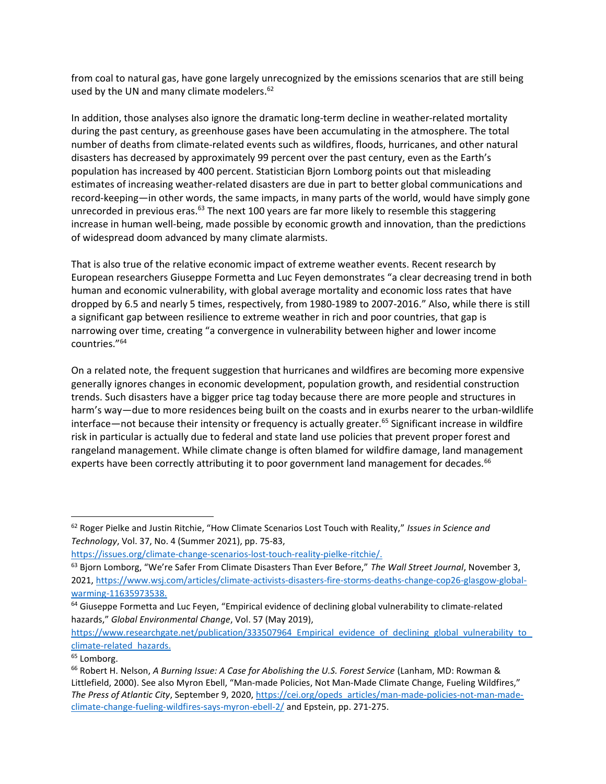from coal to natural gas, have gone largely unrecognized by the emissions scenarios that are still being used by the UN and many climate modelers.<sup>62</sup>

In addition, those analyses also ignore the dramatic long-term decline in weather-related mortality during the past century, as greenhouse gases have been accumulating in the atmosphere. The total number of deaths from climate-related events such as wildfires, floods, hurricanes, and other natural disasters has decreased by approximately 99 percent over the past century, even as the Earth's population has increased by 400 percent. Statistician Bjorn Lomborg points out that misleading estimates of increasing weather-related disasters are due in part to better global communications and record-keeping—in other words, the same impacts, in many parts of the world, would have simply gone unrecorded in previous eras. $^{63}$  The next 100 years are far more likely to resemble this staggering increase in human well-being, made possible by economic growth and innovation, than the predictions of widespread doom advanced by many climate alarmists.

That is also true of the relative economic impact of extreme weather events. Recent research by European researchers Giuseppe Formetta and Luc Feyen demonstrates "a clear decreasing trend in both human and economic vulnerability, with global average mortality and economic loss rates that have dropped by 6.5 and nearly 5 times, respectively, from 1980-1989 to 2007-2016." Also, while there is still a significant gap between resilience to extreme weather in rich and poor countries, that gap is narrowing over time, creating "a convergence in vulnerability between higher and lower income countries."<sup>64</sup>

On a related note, the frequent suggestion that hurricanes and wildfires are becoming more expensive generally ignores changes in economic development, population growth, and residential construction trends. Such disasters have a bigger price tag today because there are more people and structures in harm's way—due to more residences being built on the coasts and in exurbs nearer to the urban-wildlife interface—not because their intensity or frequency is actually greater.<sup>65</sup> Significant increase in wildfire risk in particular is actually due to federal and state land use policies that prevent proper forest and rangeland management. While climate change is often blamed for wildfire damage, land management experts have been correctly attributing it to poor government land management for decades.<sup>66</sup>

<sup>62</sup> Roger Pielke and Justin Ritchie, "How Climate Scenarios Lost Touch with Reality," Issues in Science and Technology, Vol. 37, No. 4 (Summer 2021), pp. 75-83,

https://issues.org/climate-change-scenarios-lost-touch-reality-pielke-ritchie/.

<sup>&</sup>lt;sup>63</sup> Bjorn Lomborg, "We're Safer From Climate Disasters Than Ever Before," The Wall Street Journal, November 3, 2021, https://www.wsj.com/articles/climate-activists-disasters-fire-storms-deaths-change-cop26-glasgow-globalwarming-11635973538.

<sup>&</sup>lt;sup>64</sup> Giuseppe Formetta and Luc Feyen, "Empirical evidence of declining global vulnerability to climate-related hazards," Global Environmental Change, Vol. 57 (May 2019),

https://www.researchgate.net/publication/333507964\_Empirical\_evidence\_of\_declining\_global\_vulnerability\_to climate-related\_hazards.

<sup>&</sup>lt;sup>65</sup> Lomborg.

<sup>&</sup>lt;sup>66</sup> Robert H. Nelson, A Burning Issue: A Case for Abolishing the U.S. Forest Service (Lanham, MD: Rowman & Littlefield, 2000). See also Myron Ebell, "Man-made Policies, Not Man-Made Climate Change, Fueling Wildfires," The Press of Atlantic City, September 9, 2020, https://cei.org/opeds\_articles/man-made-policies-not-man-madeclimate-change-fueling-wildfires-says-myron-ebell-2/ and Epstein, pp. 271-275.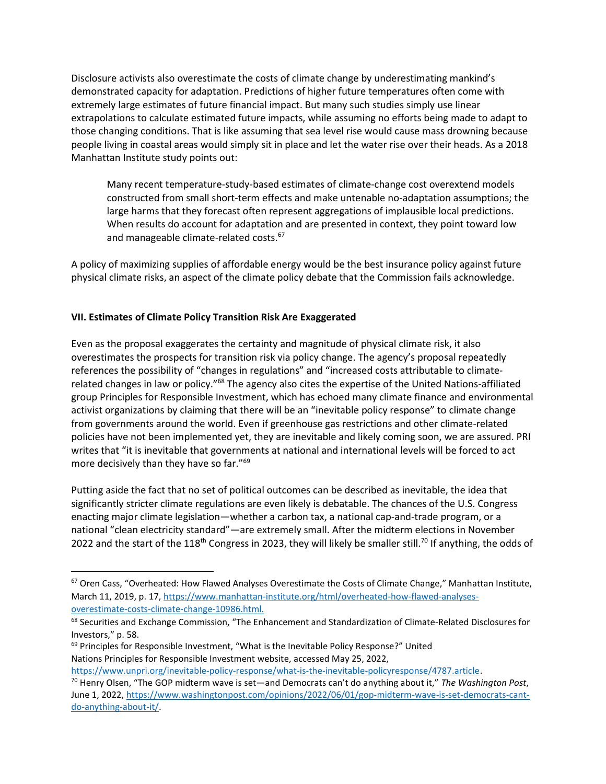Disclosure activists also overestimate the costs of climate change by underestimating mankind's demonstrated capacity for adaptation. Predictions of higher future temperatures often come with extremely large estimates of future financial impact. But many such studies simply use linear extrapolations to calculate estimated future impacts, while assuming no efforts being made to adapt to those changing conditions. That is like assuming that sea level rise would cause mass drowning because people living in coastal areas would simply sit in place and let the water rise over their heads. As a 2018 Manhattan Institute study points out:

Many recent temperature-study-based estimates of climate-change cost overextend models constructed from small short-term effects and make untenable no-adaptation assumptions; the large harms that they forecast often represent aggregations of implausible local predictions. When results do account for adaptation and are presented in context, they point toward low and manageable climate-related costs.<sup>67</sup>

A policy of maximizing supplies of affordable energy would be the best insurance policy against future physical climate risks, an aspect of the climate policy debate that the Commission fails acknowledge.

## VII. Estimates of Climate Policy Transition Risk Are Exaggerated

Even as the proposal exaggerates the certainty and magnitude of physical climate risk, it also overestimates the prospects for transition risk via policy change. The agency's proposal repeatedly references the possibility of "changes in regulations" and "increased costs attributable to climaterelated changes in law or policy."<sup>68</sup> The agency also cites the expertise of the United Nations-affiliated group Principles for Responsible Investment, which has echoed many climate finance and environmental activist organizations by claiming that there will be an "inevitable policy response" to climate change from governments around the world. Even if greenhouse gas restrictions and other climate-related policies have not been implemented yet, they are inevitable and likely coming soon, we are assured. PRI writes that "it is inevitable that governments at national and international levels will be forced to act more decisively than they have so far."<sup>69</sup>

Putting aside the fact that no set of political outcomes can be described as inevitable, the idea that significantly stricter climate regulations are even likely is debatable. The chances of the U.S. Congress enacting major climate legislation—whether a carbon tax, a national cap-and-trade program, or a national "clean electricity standard"—are extremely small. After the midterm elections in November 2022 and the start of the 118<sup>th</sup> Congress in 2023, they will likely be smaller still.<sup>70</sup> If anything, the odds of

 $69$  Principles for Responsible Investment, "What is the Inevitable Policy Response?" United Nations Principles for Responsible Investment website, accessed May 25, 2022,

https://www.unpri.org/inevitable-policy-response/what-is-the-inevitable-policyresponse/4787.article.

<sup>&</sup>lt;sup>67</sup> Oren Cass, "Overheated: How Flawed Analyses Overestimate the Costs of Climate Change," Manhattan Institute, March 11, 2019, p. 17, https://www.manhattan-institute.org/html/overheated-how-flawed-analysesoverestimate-costs-climate-change-10986.html.

<sup>&</sup>lt;sup>68</sup> Securities and Exchange Commission, "The Enhancement and Standardization of Climate-Related Disclosures for Investors," p. 58.

<sup>&</sup>lt;sup>70</sup> Henry Olsen, "The GOP midterm wave is set—and Democrats can't do anything about it," The Washington Post, June 1, 2022, https://www.washingtonpost.com/opinions/2022/06/01/gop-midterm-wave-is-set-democrats-cantdo-anything-about-it/.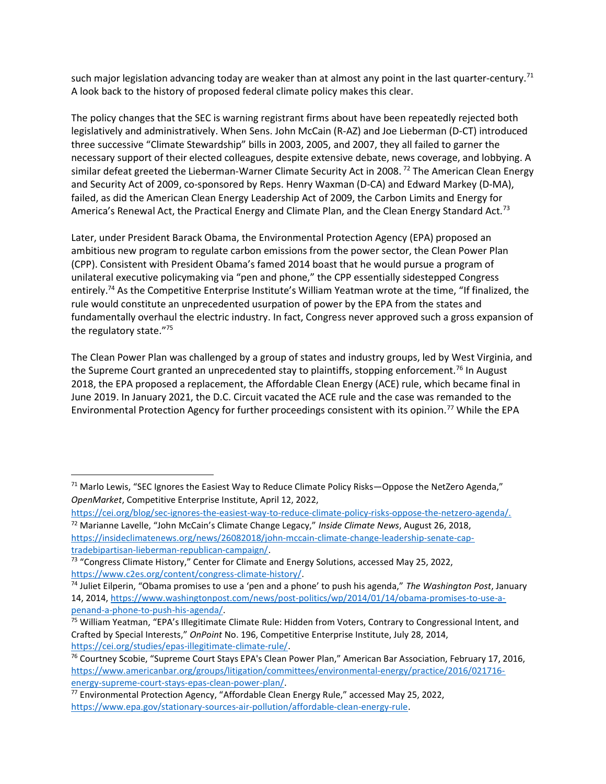such major legislation advancing today are weaker than at almost any point in the last quarter-century.<sup>71</sup> A look back to the history of proposed federal climate policy makes this clear.

The policy changes that the SEC is warning registrant firms about have been repeatedly rejected both legislatively and administratively. When Sens. John McCain (R-AZ) and Joe Lieberman (D-CT) introduced three successive "Climate Stewardship" bills in 2003, 2005, and 2007, they all failed to garner the necessary support of their elected colleagues, despite extensive debate, news coverage, and lobbying. A similar defeat greeted the Lieberman-Warner Climate Security Act in 2008.<sup>72</sup> The American Clean Energy and Security Act of 2009, co-sponsored by Reps. Henry Waxman (D-CA) and Edward Markey (D-MA), failed, as did the American Clean Energy Leadership Act of 2009, the Carbon Limits and Energy for America's Renewal Act, the Practical Energy and Climate Plan, and the Clean Energy Standard Act.<sup>73</sup>

Later, under President Barack Obama, the Environmental Protection Agency (EPA) proposed an ambitious new program to regulate carbon emissions from the power sector, the Clean Power Plan (CPP). Consistent with President Obama's famed 2014 boast that he would pursue a program of unilateral executive policymaking via "pen and phone," the CPP essentially sidestepped Congress entirely.<sup>74</sup> As the Competitive Enterprise Institute's William Yeatman wrote at the time, "If finalized, the rule would constitute an unprecedented usurpation of power by the EPA from the states and fundamentally overhaul the electric industry. In fact, Congress never approved such a gross expansion of the regulatory state."<sup>75</sup>

The Clean Power Plan was challenged by a group of states and industry groups, led by West Virginia, and the Supreme Court granted an unprecedented stay to plaintiffs, stopping enforcement.<sup>76</sup> In August 2018, the EPA proposed a replacement, the Affordable Clean Energy (ACE) rule, which became final in June 2019. In January 2021, the D.C. Circuit vacated the ACE rule and the case was remanded to the Environmental Protection Agency for further proceedings consistent with its opinion.<sup>77</sup> While the EPA

<sup>71</sup> Marlo Lewis, "SEC Ignores the Easiest Way to Reduce Climate Policy Risks-Oppose the NetZero Agenda," OpenMarket, Competitive Enterprise Institute, April 12, 2022,

https://cei.org/blog/sec-ignores-the-easiest-way-to-reduce-climate-policy-risks-oppose-the-netzero-agenda/.  $72$  Marianne Lavelle, "John McCain's Climate Change Legacy," Inside Climate News, August 26, 2018, https://insideclimatenews.org/news/26082018/john-mccain-climate-change-leadership-senate-captradebipartisan-lieberman-republican-campaign/.

 $73$  "Congress Climate History," Center for Climate and Energy Solutions, accessed May 25, 2022, https://www.c2es.org/content/congress-climate-history/.

<sup>&</sup>lt;sup>74</sup> Juliet Eilperin, "Obama promises to use a 'pen and a phone' to push his agenda," The Washington Post, January 14, 2014, https://www.washingtonpost.com/news/post-politics/wp/2014/01/14/obama-promises-to-use-apenand-a-phone-to-push-his-agenda/.

<sup>&</sup>lt;sup>75</sup> William Yeatman, "EPA's Illegitimate Climate Rule: Hidden from Voters, Contrary to Congressional Intent, and Crafted by Special Interests," OnPoint No. 196, Competitive Enterprise Institute, July 28, 2014, https://cei.org/studies/epas-illegitimate-climate-rule/.

<sup>&</sup>lt;sup>76</sup> Courtney Scobie, "Supreme Court Stays EPA's Clean Power Plan," American Bar Association, February 17, 2016, https://www.americanbar.org/groups/litigation/committees/environmental-energy/practice/2016/021716 energy-supreme-court-stays-epas-clean-power-plan/.

<sup>77</sup> Environmental Protection Agency, "Affordable Clean Energy Rule," accessed May 25, 2022, https://www.epa.gov/stationary-sources-air-pollution/affordable-clean-energy-rule.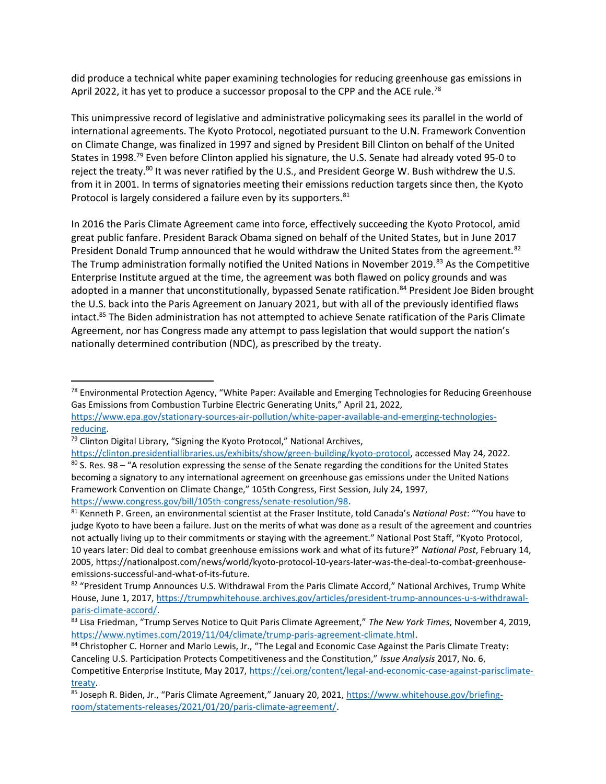did produce a technical white paper examining technologies for reducing greenhouse gas emissions in April 2022, it has yet to produce a successor proposal to the CPP and the ACE rule.<sup>78</sup>

This unimpressive record of legislative and administrative policymaking sees its parallel in the world of international agreements. The Kyoto Protocol, negotiated pursuant to the U.N. Framework Convention on Climate Change, was finalized in 1997 and signed by President Bill Clinton on behalf of the United States in 1998.<sup>79</sup> Even before Clinton applied his signature, the U.S. Senate had already voted 95-0 to reject the treaty.<sup>80</sup> It was never ratified by the U.S., and President George W. Bush withdrew the U.S. from it in 2001. In terms of signatories meeting their emissions reduction targets since then, the Kyoto Protocol is largely considered a failure even by its supporters.<sup>81</sup>

In 2016 the Paris Climate Agreement came into force, effectively succeeding the Kyoto Protocol, amid great public fanfare. President Barack Obama signed on behalf of the United States, but in June 2017 President Donald Trump announced that he would withdraw the United States from the agreement.<sup>82</sup> The Trump administration formally notified the United Nations in November 2019.<sup>83</sup> As the Competitive Enterprise Institute argued at the time, the agreement was both flawed on policy grounds and was adopted in a manner that unconstitutionally, bypassed Senate ratification.<sup>84</sup> President Joe Biden brought the U.S. back into the Paris Agreement on January 2021, but with all of the previously identified flaws intact.<sup>85</sup> The Biden administration has not attempted to achieve Senate ratification of the Paris Climate Agreement, nor has Congress made any attempt to pass legislation that would support the nation's nationally determined contribution (NDC), as prescribed by the treaty.

 $^{78}$  Environmental Protection Agency, "White Paper: Available and Emerging Technologies for Reducing Greenhouse Gas Emissions from Combustion Turbine Electric Generating Units," April 21, 2022,

https://www.epa.gov/stationary-sources-air-pollution/white-paper-available-and-emerging-technologiesreducing.

<sup>&</sup>lt;sup>79</sup> Clinton Digital Library, "Signing the Kyoto Protocol," National Archives,

https://clinton.presidentiallibraries.us/exhibits/show/green-building/kyoto-protocol, accessed May 24, 2022.

<sup>80</sup> S. Res. 98 – "A resolution expressing the sense of the Senate regarding the conditions for the United States becoming a signatory to any international agreement on greenhouse gas emissions under the United Nations Framework Convention on Climate Change," 105th Congress, First Session, July 24, 1997, https://www.congress.gov/bill/105th-congress/senate-resolution/98.

<sup>81</sup> Kenneth P. Green, an environmental scientist at the Fraser Institute, told Canada's National Post: "You have to judge Kyoto to have been a failure. Just on the merits of what was done as a result of the agreement and countries not actually living up to their commitments or staying with the agreement." National Post Staff, "Kyoto Protocol, 10 years later: Did deal to combat greenhouse emissions work and what of its future?" National Post, February 14, 2005, https://nationalpost.com/news/world/kyoto-protocol-10-years-later-was-the-deal-to-combat-greenhouseemissions-successful-and-what-of-its-future.

<sup>82 &</sup>quot;President Trump Announces U.S. Withdrawal From the Paris Climate Accord," National Archives, Trump White House, June 1, 2017, https://trumpwhitehouse.archives.gov/articles/president-trump-announces-u-s-withdrawalparis-climate-accord/.

<sup>83</sup> Lisa Friedman, "Trump Serves Notice to Quit Paris Climate Agreement," The New York Times, November 4, 2019, https://www.nytimes.com/2019/11/04/climate/trump-paris-agreement-climate.html.

<sup>84</sup> Christopher C. Horner and Marlo Lewis, Jr., "The Legal and Economic Case Against the Paris Climate Treaty: Canceling U.S. Participation Protects Competitiveness and the Constitution," Issue Analysis 2017, No. 6, Competitive Enterprise Institute, May 2017, https://cei.org/content/legal-and-economic-case-against-parisclimatetreaty.

<sup>85</sup> Joseph R. Biden, Jr., "Paris Climate Agreement," January 20, 2021, https://www.whitehouse.gov/briefingroom/statements-releases/2021/01/20/paris-climate-agreement/.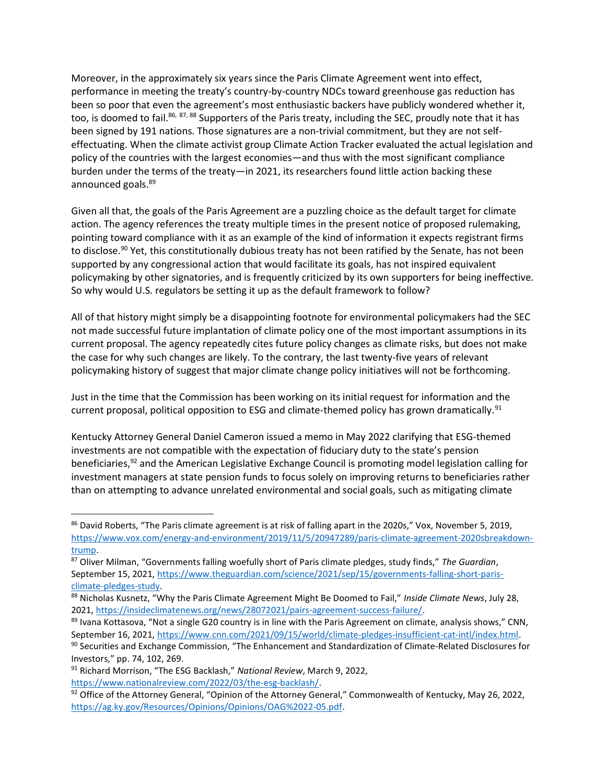Moreover, in the approximately six years since the Paris Climate Agreement went into effect, performance in meeting the treaty's country-by-country NDCs toward greenhouse gas reduction has been so poor that even the agreement's most enthusiastic backers have publicly wondered whether it, too, is doomed to fail.<sup>86, 87, 88</sup> Supporters of the Paris treaty, including the SEC, proudly note that it has been signed by 191 nations. Those signatures are a non-trivial commitment, but they are not selfeffectuating. When the climate activist group Climate Action Tracker evaluated the actual legislation and policy of the countries with the largest economies—and thus with the most significant compliance burden under the terms of the treaty—in 2021, its researchers found little action backing these announced goals.<sup>89</sup>

Given all that, the goals of the Paris Agreement are a puzzling choice as the default target for climate action. The agency references the treaty multiple times in the present notice of proposed rulemaking, pointing toward compliance with it as an example of the kind of information it expects registrant firms to disclose.<sup>90</sup> Yet, this constitutionally dubious treaty has not been ratified by the Senate, has not been supported by any congressional action that would facilitate its goals, has not inspired equivalent policymaking by other signatories, and is frequently criticized by its own supporters for being ineffective. So why would U.S. regulators be setting it up as the default framework to follow?

All of that history might simply be a disappointing footnote for environmental policymakers had the SEC not made successful future implantation of climate policy one of the most important assumptions in its current proposal. The agency repeatedly cites future policy changes as climate risks, but does not make the case for why such changes are likely. To the contrary, the last twenty-five years of relevant policymaking history of suggest that major climate change policy initiatives will not be forthcoming.

Just in the time that the Commission has been working on its initial request for information and the current proposal, political opposition to ESG and climate-themed policy has grown dramatically.<sup>91</sup>

Kentucky Attorney General Daniel Cameron issued a memo in May 2022 clarifying that ESG-themed investments are not compatible with the expectation of fiduciary duty to the state's pension beneficiaries,<sup>92</sup> and the American Legislative Exchange Council is promoting model legislation calling for investment managers at state pension funds to focus solely on improving returns to beneficiaries rather than on attempting to advance unrelated environmental and social goals, such as mitigating climate

<sup>86</sup> David Roberts, "The Paris climate agreement is at risk of falling apart in the 2020s," Vox, November 5, 2019, https://www.vox.com/energy-and-environment/2019/11/5/20947289/paris-climate-agreement-2020sbreakdowntrump.

<sup>87</sup> Oliver Milman, "Governments falling woefully short of Paris climate pledges, study finds," The Guardian, September 15, 2021, https://www.theguardian.com/science/2021/sep/15/governments-falling-short-parisclimate-pledges-study.

<sup>88</sup> Nicholas Kusnetz, "Why the Paris Climate Agreement Might Be Doomed to Fail," Inside Climate News, July 28, 2021, https://insideclimatenews.org/news/28072021/pairs-agreement-success-failure/.

<sup>&</sup>lt;sup>89</sup> Ivana Kottasova, "Not a single G20 country is in line with the Paris Agreement on climate, analysis shows," CNN, September 16, 2021, https://www.cnn.com/2021/09/15/world/climate-pledges-insufficient-cat-intl/index.html.

<sup>90</sup> Securities and Exchange Commission, "The Enhancement and Standardization of Climate-Related Disclosures for Investors," pp. 74, 102, 269.

<sup>&</sup>lt;sup>91</sup> Richard Morrison, "The ESG Backlash," National Review, March 9, 2022, https://www.nationalreview.com/2022/03/the-esg-backlash/.

<sup>&</sup>lt;sup>92</sup> Office of the Attorney General, "Opinion of the Attorney General," Commonwealth of Kentucky, May 26, 2022, https://ag.ky.gov/Resources/Opinions/Opinions/OAG%2022-05.pdf.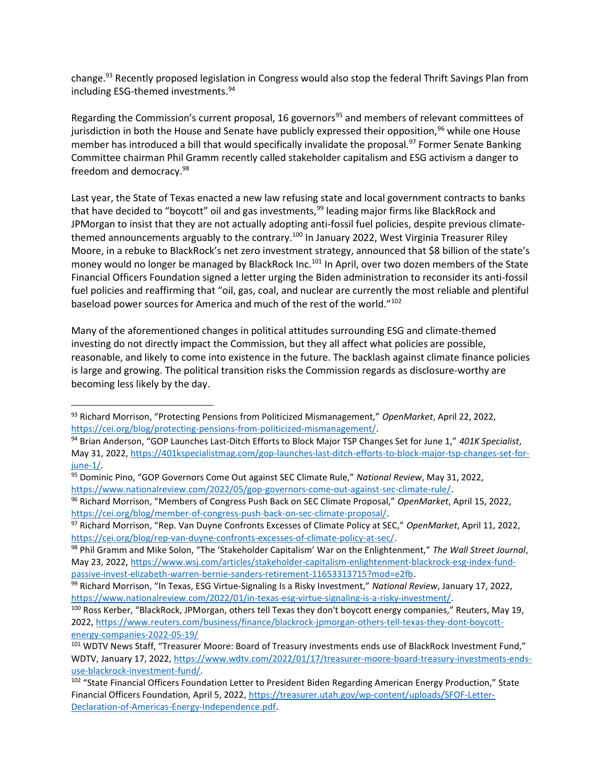change.<sup>93</sup> Recently proposed legislation in Congress would also stop the federal Thrift Savings Plan from including ESG-themed investments.<sup>94</sup>

Regarding the Commission's current proposal, 16 governors<sup>95</sup> and members of relevant committees of jurisdiction in both the House and Senate have publicly expressed their opposition,<sup>96</sup> while one House member has introduced a bill that would specifically invalidate the proposal.<sup>97</sup> Former Senate Banking Committee chairman Phil Gramm recently called stakeholder capitalism and ESG activism a danger to freedom and democracy.<sup>98</sup>

Last year, the State of Texas enacted a new law refusing state and local government contracts to banks that have decided to "boycott" oil and gas investments,<sup>99</sup> leading major firms like BlackRock and JPMorgan to insist that they are not actually adopting anti-fossil fuel policies, despite previous climatethemed announcements arguably to the contrary.<sup>100</sup> In January 2022, West Virginia Treasurer Riley Moore, in a rebuke to BlackRock's net zero investment strategy, announced that \$8 billion of the state's money would no longer be managed by BlackRock Inc.<sup>101</sup> In April, over two dozen members of the State Financial Officers Foundation signed a letter urging the Biden administration to reconsider its anti-fossil fuel policies and reaffirming that "oil, gas, coal, and nuclear are currently the most reliable and plentiful baseload power sources for America and much of the rest of the world."<sup>102</sup>

Many of the aforementioned changes in political attitudes surrounding ESG and climate-themed investing do not directly impact the Commission, but they all affect what policies are possible, reasonable, and likely to come into existence in the future. The backlash against climate finance policies is large and growing. The political transition risks the Commission regards as disclosure-worthy are becoming less likely by the day.

- 94 Brian Anderson, "GOP Launches Last-Ditch Efforts to Block Major TSP Changes Set for June 1," 401K Specialist, May 31, 2022, https://401kspecialistmag.com/gop-launches-last-ditch-efforts-to-block-major-tsp-changes-set-forjune-1/.
- 95 Dominic Pino, "GOP Governors Come Out against SEC Climate Rule," National Review, May 31, 2022, https://www.nationalreview.com/2022/05/gop-governors-come-out-against-sec-climate-rule/.

96 Richard Morrison, "Members of Congress Push Back on SEC Climate Proposal," OpenMarket, April 15, 2022, https://cei.org/blog/member-of-congress-push-back-on-sec-climate-proposal/.

<sup>93</sup> Richard Morrison, "Protecting Pensions from Politicized Mismanagement," OpenMarket, April 22, 2022, https://cei.org/blog/protecting-pensions-from-politicized-mismanagement/.

<sup>97</sup> Richard Morrison, "Rep. Van Duyne Confronts Excesses of Climate Policy at SEC," OpenMarket, April 11, 2022, https://cei.org/blog/rep-van-duyne-confronts-excesses-of-climate-policy-at-sec/.

<sup>98</sup> Phil Gramm and Mike Solon, "The 'Stakeholder Capitalism' War on the Enlightenment," The Wall Street Journal, May 23, 2022, https://www.wsj.com/articles/stakeholder-capitalism-enlightenment-blackrock-esg-index-fundpassive-invest-elizabeth-warren-bernie-sanders-retirement-11653313715?mod=e2fb.

<sup>99</sup> Richard Morrison, "In Texas, ESG Virtue-Signaling Is a Risky Investment," National Review, January 17, 2022, https://www.nationalreview.com/2022/01/in-texas-esg-virtue-signaling-is-a-risky-investment/.

<sup>100</sup> Ross Kerber, "BlackRock, JPMorgan, others tell Texas they don't boycott energy companies," Reuters, May 19, 2022, https://www.reuters.com/business/finance/blackrock-jpmorgan-others-tell-texas-they-dont-boycottenergy-companies-2022-05-19/

<sup>101</sup> WDTV News Staff, "Treasurer Moore: Board of Treasury investments ends use of BlackRock Investment Fund," WDTV, January 17, 2022, https://www.wdtv.com/2022/01/17/treasurer-moore-board-treasury-investments-endsuse-blackrock-investment-fund/.

<sup>102 &</sup>quot;State Financial Officers Foundation Letter to President Biden Regarding American Energy Production," State Financial Officers Foundation, April 5, 2022, https://treasurer.utah.gov/wp-content/uploads/SFOF-Letter-Declaration-of-Americas-Energy-Independence.pdf.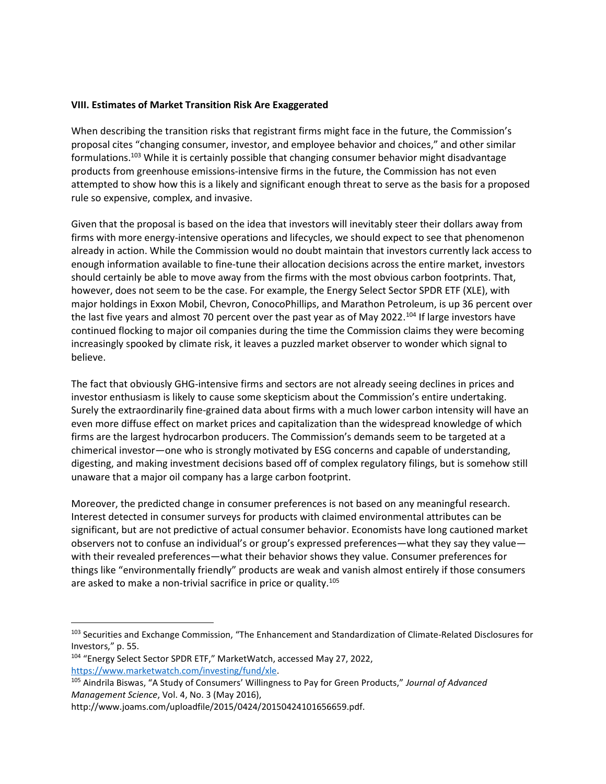#### VIII. Estimates of Market Transition Risk Are Exaggerated

When describing the transition risks that registrant firms might face in the future, the Commission's proposal cites "changing consumer, investor, and employee behavior and choices," and other similar formulations.<sup>103</sup> While it is certainly possible that changing consumer behavior might disadvantage products from greenhouse emissions-intensive firms in the future, the Commission has not even attempted to show how this is a likely and significant enough threat to serve as the basis for a proposed rule so expensive, complex, and invasive.

Given that the proposal is based on the idea that investors will inevitably steer their dollars away from firms with more energy-intensive operations and lifecycles, we should expect to see that phenomenon already in action. While the Commission would no doubt maintain that investors currently lack access to enough information available to fine-tune their allocation decisions across the entire market, investors should certainly be able to move away from the firms with the most obvious carbon footprints. That, however, does not seem to be the case. For example, the Energy Select Sector SPDR ETF (XLE), with major holdings in Exxon Mobil, Chevron, ConocoPhillips, and Marathon Petroleum, is up 36 percent over the last five years and almost 70 percent over the past year as of May 2022.<sup>104</sup> If large investors have continued flocking to major oil companies during the time the Commission claims they were becoming increasingly spooked by climate risk, it leaves a puzzled market observer to wonder which signal to believe.

The fact that obviously GHG-intensive firms and sectors are not already seeing declines in prices and investor enthusiasm is likely to cause some skepticism about the Commission's entire undertaking. Surely the extraordinarily fine-grained data about firms with a much lower carbon intensity will have an even more diffuse effect on market prices and capitalization than the widespread knowledge of which firms are the largest hydrocarbon producers. The Commission's demands seem to be targeted at a chimerical investor—one who is strongly motivated by ESG concerns and capable of understanding, digesting, and making investment decisions based off of complex regulatory filings, but is somehow still unaware that a major oil company has a large carbon footprint.

Moreover, the predicted change in consumer preferences is not based on any meaningful research. Interest detected in consumer surveys for products with claimed environmental attributes can be significant, but are not predictive of actual consumer behavior. Economists have long cautioned market observers not to confuse an individual's or group's expressed preferences—what they say they value with their revealed preferences—what their behavior shows they value. Consumer preferences for things like "environmentally friendly" products are weak and vanish almost entirely if those consumers are asked to make a non-trivial sacrifice in price or quality.<sup>105</sup>

<sup>&</sup>lt;sup>103</sup> Securities and Exchange Commission, "The Enhancement and Standardization of Climate-Related Disclosures for Investors," p. 55.

<sup>104</sup> "Energy Select Sector SPDR ETF," MarketWatch, accessed May 27, 2022, https://www.marketwatch.com/investing/fund/xle.

<sup>&</sup>lt;sup>105</sup> Aindrila Biswas, "A Study of Consumers' Willingness to Pay for Green Products," Journal of Advanced Management Science, Vol. 4, No. 3 (May 2016),

http://www.joams.com/uploadfile/2015/0424/20150424101656659.pdf.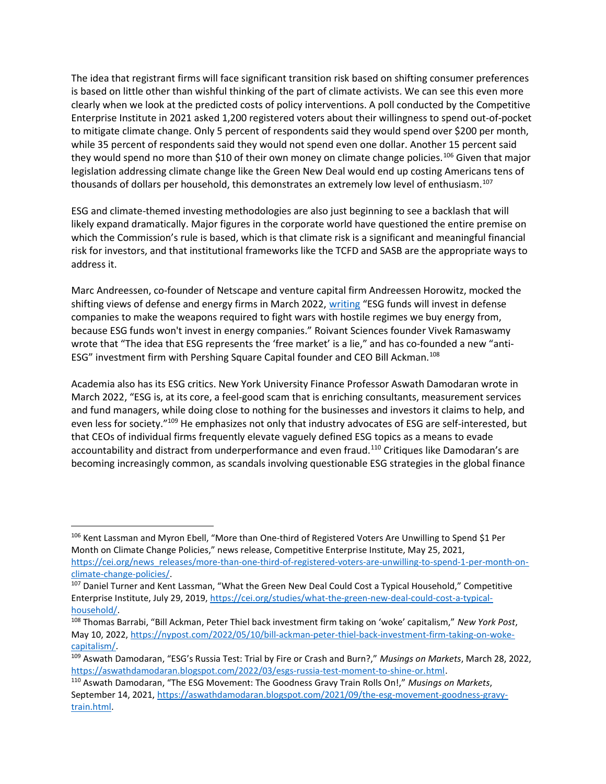The idea that registrant firms will face significant transition risk based on shifting consumer preferences is based on little other than wishful thinking of the part of climate activists. We can see this even more clearly when we look at the predicted costs of policy interventions. A poll conducted by the Competitive Enterprise Institute in 2021 asked 1,200 registered voters about their willingness to spend out-of-pocket to mitigate climate change. Only 5 percent of respondents said they would spend over \$200 per month, while 35 percent of respondents said they would not spend even one dollar. Another 15 percent said they would spend no more than \$10 of their own money on climate change policies.<sup>106</sup> Given that major legislation addressing climate change like the Green New Deal would end up costing Americans tens of thousands of dollars per household, this demonstrates an extremely low level of enthusiasm.<sup>107</sup>

ESG and climate-themed investing methodologies are also just beginning to see a backlash that will likely expand dramatically. Major figures in the corporate world have questioned the entire premise on which the Commission's rule is based, which is that climate risk is a significant and meaningful financial risk for investors, and that institutional frameworks like the TCFD and SASB are the appropriate ways to address it.

Marc Andreessen, co-founder of Netscape and venture capital firm Andreessen Horowitz, mocked the shifting views of defense and energy firms in March 2022, writing "ESG funds will invest in defense companies to make the weapons required to fight wars with hostile regimes we buy energy from, because ESG funds won't invest in energy companies." Roivant Sciences founder Vivek Ramaswamy wrote that "The idea that ESG represents the 'free market' is a lie," and has co-founded a new "anti-ESG" investment firm with Pershing Square Capital founder and CEO Bill Ackman.<sup>108</sup>

Academia also has its ESG critics. New York University Finance Professor Aswath Damodaran wrote in March 2022, "ESG is, at its core, a feel-good scam that is enriching consultants, measurement services and fund managers, while doing close to nothing for the businesses and investors it claims to help, and even less for society."<sup>109</sup> He emphasizes not only that industry advocates of ESG are self-interested, but that CEOs of individual firms frequently elevate vaguely defined ESG topics as a means to evade accountability and distract from underperformance and even fraud.<sup>110</sup> Critiques like Damodaran's are becoming increasingly common, as scandals involving questionable ESG strategies in the global finance

<sup>106</sup> Kent Lassman and Myron Ebell, "More than One-third of Registered Voters Are Unwilling to Spend \$1 Per Month on Climate Change Policies," news release, Competitive Enterprise Institute, May 25, 2021, https://cei.org/news\_releases/more-than-one-third-of-registered-voters-are-unwilling-to-spend-1-per-month-onclimate-change-policies/.

<sup>&</sup>lt;sup>107</sup> Daniel Turner and Kent Lassman, "What the Green New Deal Could Cost a Typical Household," Competitive Enterprise Institute, July 29, 2019, https://cei.org/studies/what-the-green-new-deal-could-cost-a-typicalhousehold/.

<sup>108</sup> Thomas Barrabi, "Bill Ackman, Peter Thiel back investment firm taking on 'woke' capitalism," New York Post, May 10, 2022, https://nypost.com/2022/05/10/bill-ackman-peter-thiel-back-investment-firm-taking-on-wokecapitalism/.

<sup>&</sup>lt;sup>109</sup> Aswath Damodaran, "ESG's Russia Test: Trial by Fire or Crash and Burn?," Musings on Markets, March 28, 2022, https://aswathdamodaran.blogspot.com/2022/03/esgs-russia-test-moment-to-shine-or.html.

<sup>110</sup> Aswath Damodaran, "The ESG Movement: The Goodness Gravy Train Rolls On!," Musings on Markets, September 14, 2021, https://aswathdamodaran.blogspot.com/2021/09/the-esg-movement-goodness-gravytrain.html.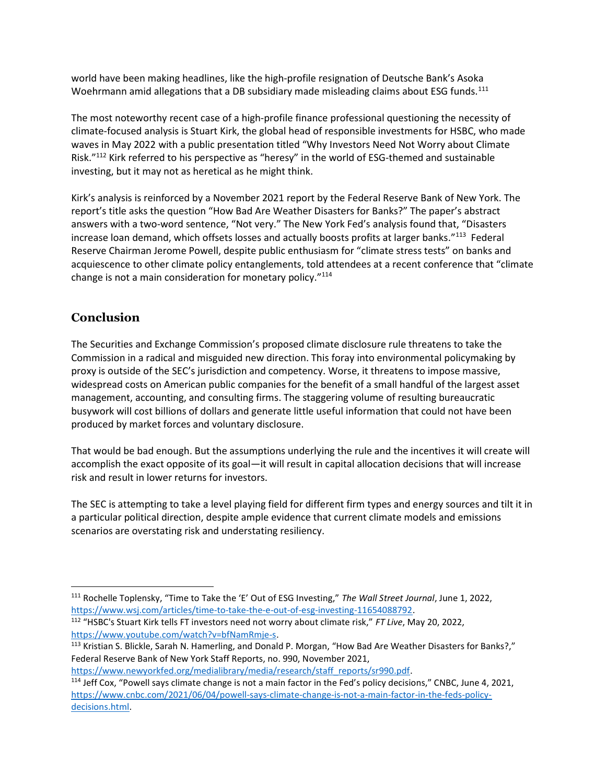world have been making headlines, like the high-profile resignation of Deutsche Bank's Asoka Woehrmann amid allegations that a DB subsidiary made misleading claims about ESG funds.<sup>111</sup>

The most noteworthy recent case of a high-profile finance professional questioning the necessity of climate-focused analysis is Stuart Kirk, the global head of responsible investments for HSBC, who made waves in May 2022 with a public presentation titled "Why Investors Need Not Worry about Climate Risk."<sup>112</sup> Kirk referred to his perspective as "heresy" in the world of ESG-themed and sustainable investing, but it may not as heretical as he might think.

Kirk's analysis is reinforced by a November 2021 report by the Federal Reserve Bank of New York. The report's title asks the question "How Bad Are Weather Disasters for Banks?" The paper's abstract answers with a two-word sentence, "Not very." The New York Fed's analysis found that, "Disasters increase loan demand, which offsets losses and actually boosts profits at larger banks."<sup>113</sup> Federal Reserve Chairman Jerome Powell, despite public enthusiasm for "climate stress tests" on banks and acquiescence to other climate policy entanglements, told attendees at a recent conference that "climate change is not a main consideration for monetary policy."<sup>114</sup>

# **Conclusion**

 $\overline{a}$ 

The Securities and Exchange Commission's proposed climate disclosure rule threatens to take the Commission in a radical and misguided new direction. This foray into environmental policymaking by proxy is outside of the SEC's jurisdiction and competency. Worse, it threatens to impose massive, widespread costs on American public companies for the benefit of a small handful of the largest asset management, accounting, and consulting firms. The staggering volume of resulting bureaucratic busywork will cost billions of dollars and generate little useful information that could not have been produced by market forces and voluntary disclosure.

That would be bad enough. But the assumptions underlying the rule and the incentives it will create will accomplish the exact opposite of its goal—it will result in capital allocation decisions that will increase risk and result in lower returns for investors.

The SEC is attempting to take a level playing field for different firm types and energy sources and tilt it in a particular political direction, despite ample evidence that current climate models and emissions scenarios are overstating risk and understating resiliency.

https://www.newyorkfed.org/medialibrary/media/research/staff\_reports/sr990.pdf.

<sup>111</sup> Rochelle Toplensky, "Time to Take the 'E' Out of ESG Investing," The Wall Street Journal, June 1, 2022, https://www.wsj.com/articles/time-to-take-the-e-out-of-esg-investing-11654088792.

<sup>112</sup> "HSBC's Stuart Kirk tells FT investors need not worry about climate risk," FT Live, May 20, 2022, https://www.youtube.com/watch?v=bfNamRmje-s.

<sup>113</sup> Kristian S. Blickle, Sarah N. Hamerling, and Donald P. Morgan, "How Bad Are Weather Disasters for Banks?," Federal Reserve Bank of New York Staff Reports, no. 990, November 2021,

<sup>114</sup> Jeff Cox, "Powell says climate change is not a main factor in the Fed's policy decisions," CNBC, June 4, 2021, https://www.cnbc.com/2021/06/04/powell-says-climate-change-is-not-a-main-factor-in-the-feds-policydecisions.html.